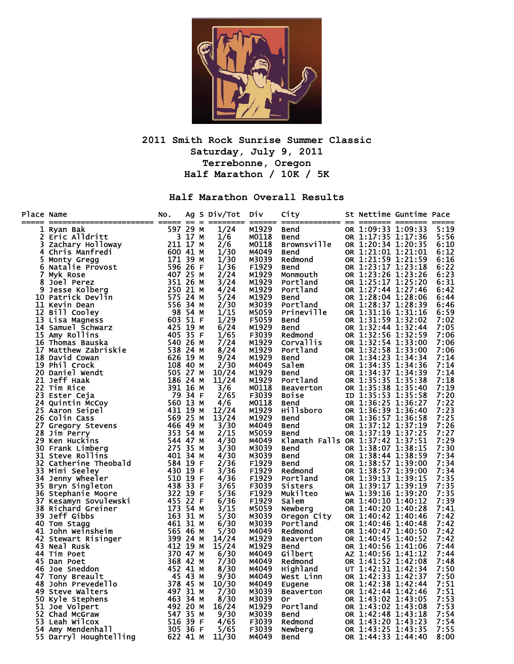

## **2011 Smith Rock Sunrise Summer Classic Saturday, July 9, 2011 Terrebonne, Oregon Half Marathon / 10K / 5K**

## **Half Marathon Overall Results**

| Place Name | ace Name and Back of the state of the state of the state of the state of the state of the state of the state of the state of the state of the state of the state of the state of the state of the state of the state of the st | NO. |  | Ag S Div/Tot Div |                | City                                                                        | St Nettime Guntime Pace                  |              |
|------------|--------------------------------------------------------------------------------------------------------------------------------------------------------------------------------------------------------------------------------|-----|--|------------------|----------------|-----------------------------------------------------------------------------|------------------------------------------|--------------|
|            |                                                                                                                                                                                                                                |     |  | 1/24             | M1929          | Bend                                                                        | OR 1:09:33 1:09:33                       | 5:19         |
|            |                                                                                                                                                                                                                                |     |  | 1/6              | M0118          | Bend                                                                        | OR 1:17:35 1:17:36                       | 5:56         |
|            |                                                                                                                                                                                                                                |     |  | 2/6              | M0118          | <b>Brownsville</b>                                                          | OR 1:20:34 1:20:35                       | 6:10         |
|            |                                                                                                                                                                                                                                |     |  | 1/30             | M4049          | Bend                                                                        | OR 1:21:01 1:21:01                       | 6:12         |
|            |                                                                                                                                                                                                                                |     |  | 1/30             | M3039          | Redmond                                                                     | OR 1:21:59 1:21:59                       | 6:16         |
|            |                                                                                                                                                                                                                                |     |  | 1/36             | F1929          | <b>Bend</b>                                                                 | OR 1:23:17 1:23:18                       | 6:22         |
|            |                                                                                                                                                                                                                                |     |  | 2/24             | M1929          | Monmouth                                                                    | OR 1:23:26 1:23:26                       | 6:23         |
|            |                                                                                                                                                                                                                                |     |  | 3/24             | M1929          | Portland                                                                    | OR 1:25:17 1:25:20                       | 6:31         |
|            |                                                                                                                                                                                                                                |     |  | 4/24             | M1929          | Portland                                                                    | OR 1:27:44 1:27:46                       | 6:42         |
|            |                                                                                                                                                                                                                                |     |  | 5/24             | M1929          | Bend<br>Portland                                                            | OR 1:28:04 1:28:06                       | 6:44         |
|            |                                                                                                                                                                                                                                |     |  | 2/30<br>1/15     | M3039<br>M5059 | Prineville                                                                  | OR 1:28:37 1:28:39<br>OR 1:31:16 1:31:16 | 6:46         |
|            |                                                                                                                                                                                                                                |     |  | 1/29             | F5059          | <b>Bend</b>                                                                 | OR 1:31:59 1:32:02                       | 6:59<br>7:02 |
|            |                                                                                                                                                                                                                                |     |  | 6/24             | M1929          | <b>Bend</b>                                                                 | OR 1:32:44 1:32:44                       | 7:05         |
|            |                                                                                                                                                                                                                                |     |  | 1/65             | F3039          | вепа<br>Redmond                                                             | OR 1:32:56 1:32:59                       | 7:06         |
|            |                                                                                                                                                                                                                                |     |  | 7/24             | M1929          | Corvallis                                                                   | OR 1:32:54 1:33:00                       | 7:06         |
|            |                                                                                                                                                                                                                                |     |  | 8/24             | M1929          | Portland                                                                    | OR 1:32:58 1:33:00                       | 7:06         |
|            |                                                                                                                                                                                                                                |     |  | 9/24             | M1929          | <b>Bend</b>                                                                 | OR 1:34:23 1:34:34                       | 7:14         |
|            |                                                                                                                                                                                                                                |     |  | 2/30             | M4049          | Salem                                                                       | OR 1:34:35 1:34:36                       | 7:14         |
|            |                                                                                                                                                                                                                                |     |  | 10/24            | M1929          | Bend                                                                        | OR 1:34:37 1:34:39                       | 7:14         |
|            |                                                                                                                                                                                                                                |     |  | 11/24            | M1929          | Portland                                                                    | OR 1:35:35 1:35:38                       | 7:18         |
|            |                                                                                                                                                                                                                                |     |  | 3/6              | M0118          |                                                                             | OR 1:35:38 1:35:40                       | 7:19         |
|            |                                                                                                                                                                                                                                |     |  | 2/65             | F3039          | <b>Purtianu</b><br>Boise<br>Boise<br>Bend<br>Hillsboro<br>Bend              | ID 1:35:53 1:35:58                       | 7:20         |
|            |                                                                                                                                                                                                                                |     |  | 4/6              | M0118          |                                                                             | OR 1:36:25 1:36:27                       | 7:22         |
|            |                                                                                                                                                                                                                                |     |  | 12/24            | M1929          |                                                                             | OR 1:36:39 1:36:40                       | 7:23         |
|            |                                                                                                                                                                                                                                |     |  | 13/24            | M1929          | <b>Bend</b>                                                                 | OR 1:36:57 1:36:58                       | 7:25         |
|            |                                                                                                                                                                                                                                |     |  | 3/30             | M4049          | <b>Bend</b>                                                                 | OR 1:37:12 1:37:19                       | 7:26         |
|            |                                                                                                                                                                                                                                |     |  | 2/15             | M5059          | Bend                                                                        | OR 1:37:19 1:37:25                       | 7:27         |
|            |                                                                                                                                                                                                                                |     |  | 4/30             | M4049          | Klamath Falls OR 1:37:42 1:37:51                                            |                                          | 7:29         |
|            |                                                                                                                                                                                                                                |     |  | 3/30             | M3039          | Bend                                                                        | OR 1:38:07 1:38:15                       | 7:30         |
|            |                                                                                                                                                                                                                                |     |  | 4/30             | M3039          | <b>Bend</b><br>no<br>end<br>Redmond<br>Portland<br>Sisters<br>Silteo W<br>M | OR 1:38:44 1:38:59<br>OR 1:38:57 1:39:00 | 7:34         |
|            |                                                                                                                                                                                                                                |     |  | 2/36<br>3/36     | F1929<br>F1929 |                                                                             | OR 1:38:57 1:39:00                       | 7:34<br>7:34 |
|            |                                                                                                                                                                                                                                |     |  | 4/36             | F1929          |                                                                             | OR 1:39:13 1:39:15                       | 7:35         |
|            |                                                                                                                                                                                                                                |     |  | 3/65             | F3039          |                                                                             | OR 1:39:17 1:39:19                       | 7:35         |
|            |                                                                                                                                                                                                                                |     |  | 5/36             | F1929          |                                                                             | WA 1:39:16 1:39:20                       | 7:35         |
|            |                                                                                                                                                                                                                                |     |  | 6/36             | F1929          |                                                                             | OR 1:40:10 1:40:12                       | 7:39         |
|            |                                                                                                                                                                                                                                |     |  | 3/15             | M5059          |                                                                             | OR 1:40:20 1:40:28                       | 7:41         |
|            |                                                                                                                                                                                                                                |     |  | 5/30             | M3039          |                                                                             | OR 1:40:42 1:40:46                       | 7:42         |
|            |                                                                                                                                                                                                                                |     |  | 6/30             | M3039          | oregon City<br>Portland                                                     | OR 1:40:46 1:40:48                       | 7:42         |
|            |                                                                                                                                                                                                                                |     |  | 5/30             | M4049          | Redmond                                                                     | OR 1:40:47 1:40:50                       | 7:42         |
|            |                                                                                                                                                                                                                                |     |  | 14/24            | M1929          | Beaverton                                                                   | OR 1:40:45 1:40:52                       | 7:42         |
|            |                                                                                                                                                                                                                                |     |  | 15/24            | M1929          | Bend                                                                        | OR 1:40:56 1:41:06                       | 7:44         |
|            |                                                                                                                                                                                                                                |     |  | 6/30             | M4049          | Gilbert                                                                     | AZ 1:40:56 1:41:12                       | 7:44         |
|            |                                                                                                                                                                                                                                |     |  | 7/30             | M4049          | Redmond                                                                     | OR 1:41:52 1:42:08                       | 7:48         |
|            |                                                                                                                                                                                                                                |     |  | 8/30             | M4049          | Highland                                                                    | UT 1:42:31 1:42:34                       | 7:50         |
|            |                                                                                                                                                                                                                                |     |  | 9/30             | M4049          | West Linn                                                                   | OR 1:42:33 1:42:37                       | 7:50         |
|            |                                                                                                                                                                                                                                |     |  | 10/30            | M4049          | Eugene                                                                      | OR 1:42:38 1:42:44                       | 7:51         |
|            |                                                                                                                                                                                                                                |     |  | 7/30             | M3039          | Beaverton                                                                   | OR 1:42:44 1:42:46                       | 7:51         |
|            |                                                                                                                                                                                                                                |     |  | 8/30             | M3039          | 0r                                                                          | OR 1:43:02 1:43:05                       | 7:53<br>7:53 |
|            |                                                                                                                                                                                                                                |     |  | 16/24<br>9/30    | M1929<br>M3039 | Portland                                                                    | OR 1:43:02 1:43:08<br>OR 1:42:48 1:43:18 | 7:54         |
|            |                                                                                                                                                                                                                                |     |  | 4/65             | F3039          | <b>Bend</b>                                                                 | OR 1:43:20 1:43:23                       | 7:54         |
|            |                                                                                                                                                                                                                                |     |  | 5/65             | F3039          | Redmond<br><b>Newberg</b>                                                   | OR 1:43:25 1:43:35                       | 7:55         |
|            |                                                                                                                                                                                                                                |     |  | 11/30            | M4049          | Bend                                                                        | OR 1:44:33 1:44:40                       | 8:00         |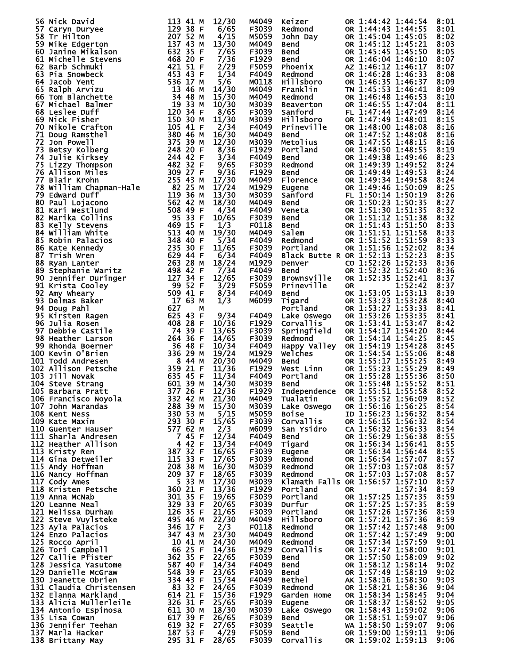| 56 Nick David                                                                                                                                                                                                                                         | 113 41 M                                                                                         | 12/30 | M4049             | Keizer                                         | OR 1:44:42 1:44:54               | 8:01 |
|-------------------------------------------------------------------------------------------------------------------------------------------------------------------------------------------------------------------------------------------------------|--------------------------------------------------------------------------------------------------|-------|-------------------|------------------------------------------------|----------------------------------|------|
| 57 Caryn Duryee                                                                                                                                                                                                                                       | 129 38 F                                                                                         | 6/65  | F3039             | Redmond                                        | OR 1:44:43 1:44:55               | 8:01 |
| 58 Tr Hilton                                                                                                                                                                                                                                          | 207 52 M                                                                                         | 4/15  | M5059             | John Day                                       | OR 1:45:04 1:45:05               | 8:02 |
| 59 Mike Edgerton                                                                                                                                                                                                                                      | 137 43 M<br>632 35 F                                                                             | 13/30 | M4049             | Bend                                           | OR 1:45:12 1:45:21               | 8:03 |
| 60 Janine Mikalson                                                                                                                                                                                                                                    |                                                                                                  | 7/65  | F3039             | Bend                                           | OR 1:45:45 1:45:50               | 8:05 |
| 61 Michelle Stevens                                                                                                                                                                                                                                   | 468 20 F                                                                                         | 7/36  | F <sub>1929</sub> | Bend                                           | OR 1:46:04 1:46:10               | 8:07 |
| 62 Barb Schmuki                                                                                                                                                                                                                                       | 421 51 F                                                                                         | 2/29  | F5059             | Phoenix                                        | AZ 1:46:12 1:46:17               | 8:07 |
| 63 Pia Snowbeck                                                                                                                                                                                                                                       | $453$ 43 F                                                                                       | 1/34  | F4049             | Redmond                                        | OR 1:46:28 1:46:33               | 8:08 |
| 64 Jacob Yent                                                                                                                                                                                                                                         | 536 17 M                                                                                         | 5/6   | M0118             | Hillsboro                                      | OR 1:46:35 1:46:37               | 8:09 |
| 65 Ralph Arvizu                                                                                                                                                                                                                                       | $13\,$ 46 M                                                                                      | 14/30 | M4049             | Franklin                                       | TN 1:45:53 1:46:41               | 8:09 |
|                                                                                                                                                                                                                                                       |                                                                                                  | 15/30 | M4049             | Redmond                                        | OR 1:46:48 1:46:53               | 8:10 |
|                                                                                                                                                                                                                                                       |                                                                                                  |       |                   |                                                |                                  | 8:11 |
|                                                                                                                                                                                                                                                       |                                                                                                  | 10/30 | M3039             | Beaverton                                      | OR 1:46:55 1:47:04               |      |
|                                                                                                                                                                                                                                                       |                                                                                                  | 8/65  | F3039             | Sanford                                        | FL 1:47:44 1:47:49               | 8:14 |
|                                                                                                                                                                                                                                                       |                                                                                                  | 11/30 | M3039             | <b>Hillsboro</b>                               | OR 1:47:49 1:48:01               | 8:15 |
|                                                                                                                                                                                                                                                       |                                                                                                  | 2/34  | F4049             | <b>Prineville</b>                              | OR 1:48:00 1:48:08               | 8:16 |
|                                                                                                                                                                                                                                                       |                                                                                                  | 16/30 | M4049             | Bend                                           | OR 1:47:52 1:48:08               | 8:16 |
|                                                                                                                                                                                                                                                       |                                                                                                  | 12/30 | M3039             | Metolius                                       | OR 1:47:55 1:48:15               | 8:16 |
|                                                                                                                                                                                                                                                       |                                                                                                  | 8/36  | F <sub>1929</sub> | Portland                                       | OR 1:48:50 1:48:55               | 8:19 |
|                                                                                                                                                                                                                                                       |                                                                                                  | 3/34  | F4049             | <b>Bend</b>                                    | OR 1:49:38 1:49:46               | 8:23 |
|                                                                                                                                                                                                                                                       |                                                                                                  | 9/65  | F3039             | Redmond                                        | OR 1:49:39 1:49:52               | 8:24 |
|                                                                                                                                                                                                                                                       |                                                                                                  | 9/36  | F <sub>1929</sub> | <b>Bend</b>                                    | OR 1:49:49 1:49:53               | 8:24 |
|                                                                                                                                                                                                                                                       |                                                                                                  | 17/30 | M4049             | Florence                                       | OR 1:49:34 1:49:58               | 8:24 |
|                                                                                                                                                                                                                                                       |                                                                                                  | 17/24 | M1929             | Eugene                                         | OR 1:49:46 1:50:09               | 8:25 |
|                                                                                                                                                                                                                                                       |                                                                                                  | 13/30 | M3039             | Sanford                                        | FL 1:50:14 1:50:19               | 8:26 |
|                                                                                                                                                                                                                                                       |                                                                                                  | 18/30 | M4049             | <b>Bend</b>                                    | OR 1:50:23 1:50:35               | 8:27 |
|                                                                                                                                                                                                                                                       |                                                                                                  | 4/34  | F4049             | Veneta                                         | OR 1:51:30 1:51:35               | 8:32 |
|                                                                                                                                                                                                                                                       |                                                                                                  | 10/65 | F3039             | Bend                                           | OR 1:51:12 1:51:38               | 8:32 |
|                                                                                                                                                                                                                                                       |                                                                                                  | 1/3   | F0118             | Bend                                           | OR 1:51:43 1:51:50               | 8:33 |
| 64 Jacob Yent<br>65 Ralph Arvizu 136 ATV 186 Tom Blanchette<br>66 Tom Blanchette<br>67 Michael Balmer<br>67 Michael Balmer<br>67 Michael Balmer<br>68 Leislee Duff<br>71 Doug Ramsthel<br>71 Doug Ramsthel<br>71 Doug Ramsthel<br>73 Betsy Kolberg    |                                                                                                  | 19/30 | M4049             | Salem                                          | OR 1:51:51 1:51:58               | 8:33 |
|                                                                                                                                                                                                                                                       |                                                                                                  | 5/34  | F4049             | Redmond                                        | OR 1:51:52 1:51:59               | 8:33 |
|                                                                                                                                                                                                                                                       |                                                                                                  | 11/65 | F3039             | Portland                                       | OR 1:51:56 1:52:02               | 8:34 |
|                                                                                                                                                                                                                                                       |                                                                                                  | 6/34  | F4049             |                                                | Black Butte R OR 1:52:13 1:52:23 | 8:35 |
|                                                                                                                                                                                                                                                       |                                                                                                  | 18/24 | M1929             | Denver                                         | CO 1:52:26 1:52:33               | 8:36 |
|                                                                                                                                                                                                                                                       |                                                                                                  | 7/34  | F4049             | <b>Bend</b>                                    | OR 1:52:32 1:52:40               | 8:36 |
|                                                                                                                                                                                                                                                       |                                                                                                  | 12/65 | F3039             | <b>Brownsville</b>                             | OR 1:52:35 1:52:41               | 8:37 |
|                                                                                                                                                                                                                                                       |                                                                                                  | 3/29  | F5059             | Prineville                                     | 1:52:42<br><b>OR</b>             | 8:37 |
|                                                                                                                                                                                                                                                       |                                                                                                  | 8/34  | F4049             | <b>Bend</b>                                    | OK 1:53:05 1:53:13               | 8:39 |
|                                                                                                                                                                                                                                                       |                                                                                                  | 1/3   | м6099             |                                                | OR 1:53:23 1:53:28               | 8:40 |
|                                                                                                                                                                                                                                                       | 627                                                                                              |       |                   | Tigard<br>Portland                             | OR 1:53:27 1:53:33               | 8:41 |
| <b>)2 Amy </b><br>93 Delmas Baker<br>94 Doug Pahl<br>95 Kirsten Ragen<br>^^ Julia Rosen                                                                                                                                                               | М<br>625 43 F                                                                                    | 9/34  | F4049             |                                                |                                  |      |
|                                                                                                                                                                                                                                                       |                                                                                                  |       |                   | Lake Oswego                                    | OR 1:53:26 1:53:35               | 8:41 |
|                                                                                                                                                                                                                                                       | 408<br>28 F                                                                                      | 10/36 | F1929             | Corvallis                                      | OR 1:53:41 1:53:47               | 8:42 |
|                                                                                                                                                                                                                                                       | 74 39 F                                                                                          | 13/65 | F3039             | Springfield                                    | OR 1:54:17 1:54:20               | 8:44 |
| 98 Heather Larson                                                                                                                                                                                                                                     | 264 36 F<br>$36\overline{48}$ F                                                                  | 14/65 | F3039             | Redmond                                        | OR 1:54:14 1:54:25               | 8:45 |
| 99 Rhonda Boerner                                                                                                                                                                                                                                     |                                                                                                  | 10/34 | F4049             | Happy Valley                                   | OR 1:54:19 1:54:28               | 8:45 |
| 100 Kevin O'Brien                                                                                                                                                                                                                                     |                                                                                                  | 19/24 | M1929             | Welches                                        | OR 1:54:54 1:55:06               | 8:48 |
| 101 Todd Andresen                                                                                                                                                                                                                                     | 264 36 F<br>36 48 F<br>36 29 M<br>8 44 M<br>8 24 M<br>8 21 F<br>635 45 F<br>601 39 M<br>377 26 F | 20/30 | M4049             | <b>Bend</b>                                    | OR 1:55:17 1:55:25               | 8:49 |
| 102 Allison Petsche                                                                                                                                                                                                                                   |                                                                                                  | 11/36 | F <sub>1929</sub> | West Linn<br>Portland                          | OR 1:55:23 1:55:29               | 8:49 |
| 103 Jill Novak                                                                                                                                                                                                                                        |                                                                                                  | 11/34 | F4049             |                                                | OR 1:55:28 1:55:36               | 8:50 |
| 104 Steve Strang                                                                                                                                                                                                                                      |                                                                                                  | 14/30 | M3039             | Bend                                           | OR 1:55:48 1:55:52               | 8:51 |
|                                                                                                                                                                                                                                                       |                                                                                                  |       | F <sub>1929</sub> | Independence                                   | OR 1:55:51 1:55:58 8:52          |      |
|                                                                                                                                                                                                                                                       |                                                                                                  |       | M4049             | Tualatin                                       | OR 1:55:52 1:56:09               | 8:52 |
|                                                                                                                                                                                                                                                       |                                                                                                  |       | M3039             | Lake Oswego                                    | OR 1:56:16 1:56:25               | 8:54 |
|                                                                                                                                                                                                                                                       |                                                                                                  |       | M5059             | Boise                                          | ID 1:56:23 1:56:32               | 8:54 |
|                                                                                                                                                                                                                                                       |                                                                                                  |       | F3039             | Corvallis                                      | OR 1:56:15 1:56:32               | 8:54 |
|                                                                                                                                                                                                                                                       |                                                                                                  |       | M6099             | San Ysidro                                     | CA 1:56:32 1:56:33               | 8:54 |
|                                                                                                                                                                                                                                                       |                                                                                                  |       | F4049             | <b>Bend</b>                                    | OR 1:56:29 1:56:38               | 8:55 |
|                                                                                                                                                                                                                                                       |                                                                                                  |       | F4049             | Tigard                                         | OR 1:56:34 1:56:41               | 8:55 |
|                                                                                                                                                                                                                                                       |                                                                                                  |       | F3039             | Eugene                                         | OR 1:56:34 1:56:44               | 8:55 |
|                                                                                                                                                                                                                                                       |                                                                                                  |       | F3039             | Redmond                                        | OR 1:56:54 1:57:07               | 8:57 |
|                                                                                                                                                                                                                                                       |                                                                                                  |       | M3039             | Redmond                                        | OR 1:57:03 1:57:08               | 8:57 |
|                                                                                                                                                                                                                                                       |                                                                                                  |       | F3039             | Redmond                                        | OR 1:57:03 1:57:08               | 8:57 |
|                                                                                                                                                                                                                                                       |                                                                                                  |       | M3039             |                                                | Klamath Falls OR 1:56:57 1:57:10 | 8:57 |
|                                                                                                                                                                                                                                                       |                                                                                                  |       | F1929             | Portland                                       | 1:57:34<br>OR.                   | 8:59 |
|                                                                                                                                                                                                                                                       |                                                                                                  |       | F3039             | Portland                                       | OR 1:57:25 1:57:35               | 8:59 |
|                                                                                                                                                                                                                                                       |                                                                                                  |       | F3039             | Durfur                                         | OR 1:57:25 1:57:35               | 8:59 |
|                                                                                                                                                                                                                                                       |                                                                                                  |       | F3039             | Portland                                       | OR 1:57:26 1:57:36               | 8:59 |
|                                                                                                                                                                                                                                                       |                                                                                                  |       | M4049             | Hillsboro                                      | OR 1:57:21 1:57:36               | 8:59 |
|                                                                                                                                                                                                                                                       |                                                                                                  |       | F0118             | Redmond                                        | OR 1:57:42 1:57:48               | 9:00 |
|                                                                                                                                                                                                                                                       |                                                                                                  |       | M4049             | Redmond                                        | OR 1:57:42 1:57:49               | 9:00 |
|                                                                                                                                                                                                                                                       |                                                                                                  |       | M4049             | Redmond                                        | OR 1:57:34 1:57:59               | 9:01 |
|                                                                                                                                                                                                                                                       |                                                                                                  |       | F <sub>1929</sub> | <b>Corvallis</b>                               | OR 1:57:47 1:58:00               | 9:01 |
|                                                                                                                                                                                                                                                       |                                                                                                  |       | F3039             | Bend                                           | OR 1:57:50 1:58:09               | 9:02 |
|                                                                                                                                                                                                                                                       |                                                                                                  |       | F4049             | Bend                                           | OR 1:58:12 1:58:14               | 9:02 |
|                                                                                                                                                                                                                                                       |                                                                                                  |       | F3039             | Bend                                           | OR 1:57:49 1:58:19               | 9:02 |
|                                                                                                                                                                                                                                                       |                                                                                                  |       | F4049             | Bethel                                         | AK 1:58:16 1:58:30               | 9:03 |
|                                                                                                                                                                                                                                                       |                                                                                                  |       | F3039             | Redmond                                        | OR 1:58:21 1:58:36               | 9:04 |
|                                                                                                                                                                                                                                                       |                                                                                                  |       | F <sub>1929</sub> | Garden Home                                    | OR 1:58:34 1:58:45               | 9:04 |
|                                                                                                                                                                                                                                                       |                                                                                                  |       | F3039             | Eugene                                         | OR 1:58:37 1:58:52               | 9:05 |
|                                                                                                                                                                                                                                                       |                                                                                                  |       | M3039             | Lake Oswego                                    | OR 1:58:43 1:59:02               | 9:06 |
|                                                                                                                                                                                                                                                       |                                                                                                  |       | F3039             |                                                | OR 1:58:51 1:59:07               | 9:06 |
|                                                                                                                                                                                                                                                       |                                                                                                  |       | F3039             |                                                | WA 1:58:50 1:59:07               | 9:06 |
| 103 Jill Novak<br>104 Steve Strang<br>105 Barbara Pratt<br>105 Barbara Pratt<br>106 Francisco Noyola<br>107 John Marandas<br>107 John Marandas<br>132 42 6 F 12/36<br>107 John Marandas<br>132 42 8 9 M 15/30<br>1109 Kate Maxim<br>139 N 15/30<br>11 |                                                                                                  |       | F5059             | <b>Bend<br/>Seattle<br/>Bend<br/>Corvallis</b> | OR 1:59:00 1:59:11               | 9:06 |
|                                                                                                                                                                                                                                                       |                                                                                                  |       | F3039             |                                                | OR 1:59:02 1:59:13               | 9:06 |
|                                                                                                                                                                                                                                                       |                                                                                                  |       |                   |                                                |                                  |      |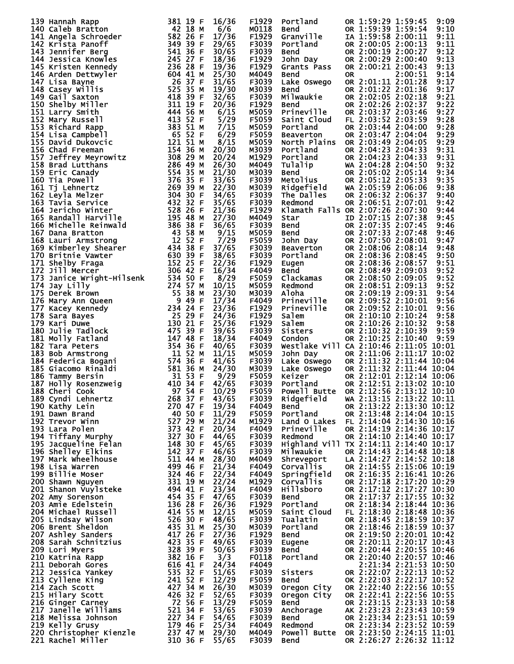|                                                                                                                                                                                                                                                          |                | F1929             |                                                                                                                                                                                                                                                              |                                                      |                          | 9:09 |
|----------------------------------------------------------------------------------------------------------------------------------------------------------------------------------------------------------------------------------------------------------|----------------|-------------------|--------------------------------------------------------------------------------------------------------------------------------------------------------------------------------------------------------------------------------------------------------------|------------------------------------------------------|--------------------------|------|
|                                                                                                                                                                                                                                                          |                | M0118             |                                                                                                                                                                                                                                                              |                                                      |                          | 9:10 |
|                                                                                                                                                                                                                                                          |                | F1929             |                                                                                                                                                                                                                                                              |                                                      |                          | 9:11 |
| 139 Hannah Rapp 1811 16 7 16/38<br>1441 Angela Schroeder<br>1441 Angela Schroeder<br>1474 Angela Schroeder<br>1474 Angela Schroeder<br>1474 Angela Schroef 582 26 F 17/36<br>144 Angela Schroef 582 26 F 12/36<br>144 Angela Schroef 582 26              |                | F3039             | Portland OR 1:59:29 1:59:45<br>Bend OR 1:59:39 1:59:54<br>Granville IA 1:59:58 2:00:11<br>Portland OR 2:00:05 2:00:13<br>Bend OR 2:00:19 2:00:27<br>John Day OR 2:00:29 2:00:40<br>Grants Pass OR 2:00:21 2:00:43<br>Samd OP 2:00:21 2:00:43                 |                                                      |                          | 9:11 |
|                                                                                                                                                                                                                                                          |                |                   |                                                                                                                                                                                                                                                              |                                                      |                          |      |
|                                                                                                                                                                                                                                                          |                | F3039             |                                                                                                                                                                                                                                                              |                                                      |                          | 9:12 |
|                                                                                                                                                                                                                                                          |                | F1929             |                                                                                                                                                                                                                                                              |                                                      |                          | 9:13 |
|                                                                                                                                                                                                                                                          |                | F1929             |                                                                                                                                                                                                                                                              |                                                      |                          | 9:13 |
|                                                                                                                                                                                                                                                          |                | M4049             | Bend                                                                                                                                                                                                                                                         | <b>OR</b>                                            | 2:00:51                  | 9:14 |
|                                                                                                                                                                                                                                                          |                | F3039             |                                                                                                                                                                                                                                                              |                                                      |                          | 9:17 |
|                                                                                                                                                                                                                                                          |                | M3039             |                                                                                                                                                                                                                                                              |                                                      |                          | 9:17 |
|                                                                                                                                                                                                                                                          |                | F3039             |                                                                                                                                                                                                                                                              |                                                      |                          | 9:21 |
|                                                                                                                                                                                                                                                          |                | F1929             |                                                                                                                                                                                                                                                              |                                                      |                          | 9:22 |
|                                                                                                                                                                                                                                                          |                | M5059             | Eake Oswego<br>Lake Oswego<br>Bend<br>OR 2:01:22 2:01:36<br>Milwaukie<br>OR 2:02:05 2:02:18<br>Bend<br>OR 2:02:26 2:02:37<br>Prineville<br>OR 2:03:37 2:03:46<br>Saint Cloud<br>FL 2:03:52 2:03:50                                                           |                                                      |                          | 9:27 |
|                                                                                                                                                                                                                                                          |                | F5059             |                                                                                                                                                                                                                                                              |                                                      |                          | 9:28 |
|                                                                                                                                                                                                                                                          |                | M5059             | Portland                                                                                                                                                                                                                                                     |                                                      | OR 2:03:44 2:04:00       | 9:28 |
|                                                                                                                                                                                                                                                          |                | F5059             | Beaverton                                                                                                                                                                                                                                                    |                                                      | OR 2:03:47 2:04:04       | 9:29 |
|                                                                                                                                                                                                                                                          |                | M5059             | North Plains OR 2:03:49 2:04:05                                                                                                                                                                                                                              |                                                      |                          | 9:29 |
|                                                                                                                                                                                                                                                          |                | M3039             | Portland                                                                                                                                                                                                                                                     |                                                      | OR 2:04:23 2:04:33       | 9:31 |
|                                                                                                                                                                                                                                                          |                | M1929             |                                                                                                                                                                                                                                                              |                                                      |                          | 9:31 |
|                                                                                                                                                                                                                                                          |                |                   | Portland OR 2:04:23 2:04:33<br>Tulalip WA 2:04:28 2:04:50<br>Bend OR 2:05:02 2:05:14<br>Metolius OR 2:05:12 2:05:33<br>Ridgefield WA 2:05:59 2:06:32<br>The ballies OR 2:06:32 2:06:37<br>Pedmond OR 2:06:32 2:06:37                                         |                                                      |                          |      |
|                                                                                                                                                                                                                                                          |                | M4049             |                                                                                                                                                                                                                                                              |                                                      |                          | 9:32 |
|                                                                                                                                                                                                                                                          |                | M3039             |                                                                                                                                                                                                                                                              |                                                      |                          | 9:34 |
|                                                                                                                                                                                                                                                          |                | F3039             |                                                                                                                                                                                                                                                              |                                                      |                          | 9:35 |
|                                                                                                                                                                                                                                                          |                | M3039             |                                                                                                                                                                                                                                                              |                                                      |                          | 9:38 |
|                                                                                                                                                                                                                                                          |                | F3039             |                                                                                                                                                                                                                                                              |                                                      |                          | 9:40 |
|                                                                                                                                                                                                                                                          |                | F3039             | Redmond                                                                                                                                                                                                                                                      |                                                      | OR 2:06:51 2:07:01       | 9:42 |
|                                                                                                                                                                                                                                                          |                | F1929             | Klamath Falls OR 2:07:26 2:07:30                                                                                                                                                                                                                             |                                                      |                          | 9:44 |
|                                                                                                                                                                                                                                                          |                | M4049             |                                                                                                                                                                                                                                                              |                                                      |                          | 9:45 |
|                                                                                                                                                                                                                                                          |                | F3039             |                                                                                                                                                                                                                                                              |                                                      |                          | 9:46 |
|                                                                                                                                                                                                                                                          |                | M5059             |                                                                                                                                                                                                                                                              |                                                      |                          | 9:46 |
|                                                                                                                                                                                                                                                          |                | F5059             |                                                                                                                                                                                                                                                              |                                                      |                          | 9:47 |
|                                                                                                                                                                                                                                                          |                | F3039             |                                                                                                                                                                                                                                                              |                                                      |                          | 9:48 |
|                                                                                                                                                                                                                                                          |                | F3039             |                                                                                                                                                                                                                                                              |                                                      |                          | 9:50 |
|                                                                                                                                                                                                                                                          |                | F1929             |                                                                                                                                                                                                                                                              |                                                      |                          | 9:51 |
|                                                                                                                                                                                                                                                          |                | F4049             |                                                                                                                                                                                                                                                              |                                                      |                          | 9:52 |
|                                                                                                                                                                                                                                                          |                | F5059             |                                                                                                                                                                                                                                                              |                                                      |                          | 9:52 |
|                                                                                                                                                                                                                                                          |                |                   |                                                                                                                                                                                                                                                              |                                                      |                          | 9:52 |
|                                                                                                                                                                                                                                                          |                | M5059             |                                                                                                                                                                                                                                                              |                                                      |                          |      |
|                                                                                                                                                                                                                                                          |                | M3039             |                                                                                                                                                                                                                                                              |                                                      |                          | 9:54 |
|                                                                                                                                                                                                                                                          |                | F4049             |                                                                                                                                                                                                                                                              |                                                      |                          | 9:56 |
|                                                                                                                                                                                                                                                          |                | F1929             |                                                                                                                                                                                                                                                              |                                                      |                          | 9:56 |
|                                                                                                                                                                                                                                                          |                | F1929             |                                                                                                                                                                                                                                                              |                                                      |                          | 9:58 |
|                                                                                                                                                                                                                                                          |                | F1929             |                                                                                                                                                                                                                                                              |                                                      |                          | 9:58 |
|                                                                                                                                                                                                                                                          |                | F3039             | Klamath Falls OR 2:07:26 2:07:30<br>Star<br>ID 2:07:15 2:07:38<br>Bend<br>OR 2:07:35 2:07:48<br>Bend<br>OR 2:07:33 2:07:48<br>John Day<br>Beaverton<br>OR 2:08:36 2:08:14<br>Portland<br>OR 2:08:36 2:08:45<br>Fugen<br>OR 2:08:36 2:08:57<br>Bend<br>OR 2:0 |                                                      |                          | 9:59 |
|                                                                                                                                                                                                                                                          |                | F4049             |                                                                                                                                                                                                                                                              |                                                      |                          | 9:59 |
|                                                                                                                                                                                                                                                          |                | F3039             | Westlake Vill CA 2:10:46 2:11:05 10:01                                                                                                                                                                                                                       |                                                      |                          |      |
|                                                                                                                                                                                                                                                          |                | M5059             | New York 2:11:06 2:11:17 10:02<br>Lake Oswego OR 2:11:32 2:11:44 10:04<br>Lake Oswego OR 2:11:32 2:11:44 10:04<br>Lake Oswego OR 2:11:32 2:11:44 10:04<br>Keizer OR 2:12:01 2:12:14 10:06<br>Portland OR 2:12:51 2:13:02 10:10                               |                                                      |                          |      |
|                                                                                                                                                                                                                                                          |                | F3039             |                                                                                                                                                                                                                                                              |                                                      |                          |      |
|                                                                                                                                                                                                                                                          |                | M3039             |                                                                                                                                                                                                                                                              |                                                      |                          |      |
|                                                                                                                                                                                                                                                          |                | F5059             |                                                                                                                                                                                                                                                              |                                                      |                          |      |
|                                                                                                                                                                                                                                                          |                | F3039             |                                                                                                                                                                                                                                                              |                                                      |                          |      |
|                                                                                                                                                                                                                                                          |                | F5059             | Powell Butte OR 2:12:56 2:13:12 10:10                                                                                                                                                                                                                        |                                                      |                          |      |
|                                                                                                                                                                                                                                                          |                | F3039             | Ridgefield                                                                                                                                                                                                                                                   | WA 2:13:15 2:13:22 10:11                             |                          |      |
|                                                                                                                                                                                                                                                          | 43/65          |                   |                                                                                                                                                                                                                                                              |                                                      |                          |      |
|                                                                                                                                                                                                                                                          | 19/34          | F4049             | Bend                                                                                                                                                                                                                                                         |                                                      | OR 2:13:22 2:13:30 10:12 |      |
|                                                                                                                                                                                                                                                          | 11/29          | F5059             | Portland                                                                                                                                                                                                                                                     |                                                      | OR 2:13:48 2:14:04 10:15 |      |
|                                                                                                                                                                                                                                                          | 21/24          | M1929             | Land 0 Lakes FL 2:14:04 2:14:30 10:16                                                                                                                                                                                                                        |                                                      |                          |      |
|                                                                                                                                                                                                                                                          | 20/34          | F4049             | Prineville                                                                                                                                                                                                                                                   |                                                      | OR 2:14:19 2:14:36 10:17 |      |
|                                                                                                                                                                                                                                                          | 44/65          | F3039             | Redmond                                                                                                                                                                                                                                                      |                                                      | OR 2:14:10 2:14:40 10:17 |      |
|                                                                                                                                                                                                                                                          | 45/65          | F3039             | Highland Vill TX 2:14:11 2:14:40 10:17                                                                                                                                                                                                                       |                                                      |                          |      |
|                                                                                                                                                                                                                                                          | 46/65          | F3039             | Milwaukie                                                                                                                                                                                                                                                    |                                                      | OR 2:14:43 2:14:48 10:18 |      |
|                                                                                                                                                                                                                                                          | 28/30          | M4049             | Shreveport                                                                                                                                                                                                                                                   |                                                      |                          |      |
|                                                                                                                                                                                                                                                          | 21/34          | F4049             | Corvallis                                                                                                                                                                                                                                                    | LA 2:14:27 2:14:52 10:18<br>OR 2:14:55 2:15:06 10:19 |                          |      |
|                                                                                                                                                                                                                                                          | 22/34          | F4049             | Springfield                                                                                                                                                                                                                                                  |                                                      | OR 2:16:35 2:16:41 10:26 |      |
|                                                                                                                                                                                                                                                          | 22/24          | M1929             | Corvallis                                                                                                                                                                                                                                                    |                                                      | OR 2:17:18 2:17:20 10:29 |      |
|                                                                                                                                                                                                                                                          | 23/34          | F4049             | Hillsboro                                                                                                                                                                                                                                                    | OR 2:17:12 2:17:27 10:30<br>OR 2:17:37 2:17:55 10:32 |                          |      |
|                                                                                                                                                                                                                                                          | 47/65          | F3039             | Bend                                                                                                                                                                                                                                                         |                                                      |                          |      |
|                                                                                                                                                                                                                                                          | 26/36          | F1929             | Portland                                                                                                                                                                                                                                                     |                                                      | OR 2:18:34 2:18:44 10:36 |      |
|                                                                                                                                                                                                                                                          | 12/15          | M5059             | Saint Cloud                                                                                                                                                                                                                                                  |                                                      | FL 2:18:30 2:18:48 10:36 |      |
|                                                                                                                                                                                                                                                          | 48/65          | F3039             | Tualatin                                                                                                                                                                                                                                                     |                                                      | OR 2:18:45 2:18:59 10:37 |      |
|                                                                                                                                                                                                                                                          | 25/30          | M3039             | Portland                                                                                                                                                                                                                                                     |                                                      | OR 2:18:46 2:18:59 10:37 |      |
|                                                                                                                                                                                                                                                          | 27/36          | F <sub>1929</sub> | Bend                                                                                                                                                                                                                                                         |                                                      | OR 2:19:50 2:20:01 10:42 |      |
|                                                                                                                                                                                                                                                          | 49/65          | F3039             | Eugene                                                                                                                                                                                                                                                       | OR 2:20:11 2:20:17 10:43                             |                          |      |
|                                                                                                                                                                                                                                                          | 50/65          | F3039             | Bend                                                                                                                                                                                                                                                         |                                                      |                          |      |
|                                                                                                                                                                                                                                                          |                |                   |                                                                                                                                                                                                                                                              | OR 2:20:44 2:20:55 10:46<br>OR 2:20:40 2:20:57 10:46 |                          |      |
|                                                                                                                                                                                                                                                          | 3/3            | F0118             | Portland                                                                                                                                                                                                                                                     |                                                      |                          |      |
|                                                                                                                                                                                                                                                          | 24/34          | F4049             |                                                                                                                                                                                                                                                              |                                                      | 2:21:34 2:21:53 10:50    |      |
|                                                                                                                                                                                                                                                          | 51/65          | F3039             | Sisters                                                                                                                                                                                                                                                      |                                                      | OR 2:22:07 2:22:13 10:52 |      |
|                                                                                                                                                                                                                                                          | 12/29          | F5059             | Bend                                                                                                                                                                                                                                                         |                                                      | OK 2:22:03 2:22:17 10:52 |      |
|                                                                                                                                                                                                                                                          | 26/30          | M3039             | Oregon City                                                                                                                                                                                                                                                  | OR 2:22:40 2:22:56 10:55                             |                          |      |
|                                                                                                                                                                                                                                                          | 52/65          | F3039             | Oregon City                                                                                                                                                                                                                                                  |                                                      | OR 2:22:41 2:22:56 10:55 |      |
|                                                                                                                                                                                                                                                          | 13/29          | F5059             | Bend                                                                                                                                                                                                                                                         |                                                      | OR 2:23:15 2:23:33 10:58 |      |
|                                                                                                                                                                                                                                                          | 53/65          | F3039             | Anchorage                                                                                                                                                                                                                                                    |                                                      |                          |      |
|                                                                                                                                                                                                                                                          | 54/65          | F3039             | <b>Bend</b>                                                                                                                                                                                                                                                  | AK 2:23:23 2:23:43 10:59<br>OR 2:23:34 2:23:51 10:59 |                          |      |
|                                                                                                                                                                                                                                                          | 25/34          | F4049             | Redmond                                                                                                                                                                                                                                                      | OR 2:23:34 2:23:52 10:59                             |                          |      |
|                                                                                                                                                                                                                                                          |                |                   |                                                                                                                                                                                                                                                              |                                                      |                          |      |
|                                                                                                                                                                                                                                                          |                | M4049             |                                                                                                                                                                                                                                                              |                                                      |                          |      |
| 187 Holly Rosenzweig<br>188 Cheri Cook<br>188 Cheri Cook<br>189 Cyndi Lehnertz<br>199 Kathy Lein<br>199 Kathy Lein<br>199 Tereor winn<br>192 Trevor winn<br>192 Trevor winn<br>193 Lara Polen<br>193 Lara Polen<br>193 Lara Polen<br>193 Lara Polen<br>1 | 29/30<br>55/65 | F3039             | Powell Butte OR 2:23:50 2:24:15 11:01<br><b>Bend</b>                                                                                                                                                                                                         |                                                      | OR 2:26:27 2:26:32 11:12 |      |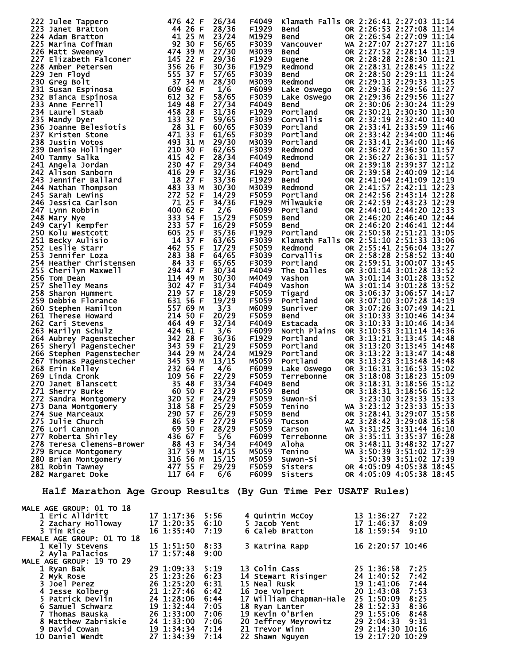| 222 Julee Tappero<br>222 Julee Tappero<br>222 Julee Taratton 446 26 FF<br>2223 Janet Bratton 442 26 FF<br>2225 Matri Sweeney<br>2226 Matri Sweeney<br>2226 Matri Sweeney<br>2226 Matri Sweeney<br>2228 Amber Froydr 1950<br>2228 Amber Petersen          |                 | 26/34 | F4049        |                                          | Klamath Falls OR 2:26:41 2:27:03 11:14                                                                                                                                                                                                                 |
|----------------------------------------------------------------------------------------------------------------------------------------------------------------------------------------------------------------------------------------------------------|-----------------|-------|--------------|------------------------------------------|--------------------------------------------------------------------------------------------------------------------------------------------------------------------------------------------------------------------------------------------------------|
|                                                                                                                                                                                                                                                          |                 | 28/36 | F1929        | Bend                                     | OR 2:26:53 2:27:08 11:14                                                                                                                                                                                                                               |
|                                                                                                                                                                                                                                                          |                 | 23/24 | M1929        | <b>Bend</b>                              | OR 2:26:54 2:27:09 11:14                                                                                                                                                                                                                               |
|                                                                                                                                                                                                                                                          |                 | 56/65 | F3039        | Vancouver                                | WA 2:27:07 2:27:27 11:16                                                                                                                                                                                                                               |
|                                                                                                                                                                                                                                                          |                 | 27/30 | M3039        | <b>Bend</b>                              | OR 2:27:52 2:28:14 11:19                                                                                                                                                                                                                               |
|                                                                                                                                                                                                                                                          |                 | 29/36 | F1929        |                                          | OR 2:28:28 2:28:30 11:21                                                                                                                                                                                                                               |
|                                                                                                                                                                                                                                                          |                 |       |              | Eugene                                   |                                                                                                                                                                                                                                                        |
|                                                                                                                                                                                                                                                          |                 | 30/36 | F1929        | Redmond<br>Bend<br>Redmond               | OR 2:28:31 2:28:45 11:22                                                                                                                                                                                                                               |
|                                                                                                                                                                                                                                                          |                 | 57/65 | F3039        |                                          | OR 2:28:50 2:29:11 11:24                                                                                                                                                                                                                               |
|                                                                                                                                                                                                                                                          |                 | 28/30 | M3039        |                                          | OR 2:29:13 2:29:33 11:25                                                                                                                                                                                                                               |
|                                                                                                                                                                                                                                                          |                 | 1/6   | F6099        | Lake Oswego                              | OR 2:29:36 2:29:56 11:27                                                                                                                                                                                                                               |
|                                                                                                                                                                                                                                                          |                 | 58/65 | F3039        | Lake Oswego                              | OR 2:29:36 2:29:56 11:27                                                                                                                                                                                                                               |
|                                                                                                                                                                                                                                                          |                 | 27/34 | F4049        | <b>Bend</b>                              | OR 2:30:06 2:30:24 11:29                                                                                                                                                                                                                               |
|                                                                                                                                                                                                                                                          |                 | 31/36 | F1929        | Portland                                 | OR 2:30:21 2:30:30 11:30                                                                                                                                                                                                                               |
|                                                                                                                                                                                                                                                          |                 | 59/65 | F3039        | corvallis                                | OR 2:32:19 2:32:40 11:40                                                                                                                                                                                                                               |
|                                                                                                                                                                                                                                                          |                 | 60/65 | F3039        | Portland                                 | OR 2:33:41 2:33:59 11:46                                                                                                                                                                                                                               |
|                                                                                                                                                                                                                                                          |                 | 61/65 | F3039        | Portland                                 | OR 2:33:42 2:34:00 11:46                                                                                                                                                                                                                               |
|                                                                                                                                                                                                                                                          |                 | 29/30 | M3039        | Portland                                 | OR 2:33:41 2:34:00 11:46                                                                                                                                                                                                                               |
|                                                                                                                                                                                                                                                          |                 | 62/65 | F3039        | Redmond                                  | OR 2:36:27 2:36:30 11:57                                                                                                                                                                                                                               |
|                                                                                                                                                                                                                                                          |                 | 28/34 | F4049        | Redmond                                  | OR 2:36:27 2:36:31 11:57                                                                                                                                                                                                                               |
|                                                                                                                                                                                                                                                          |                 | 29/34 | F4049        | <b>Bend</b>                              | OR 2:39:18 2:39:37 12:12                                                                                                                                                                                                                               |
|                                                                                                                                                                                                                                                          |                 |       |              |                                          |                                                                                                                                                                                                                                                        |
|                                                                                                                                                                                                                                                          |                 | 32/36 | F1929        | Portland                                 | OR 2:39:58 2:40:09 12:14                                                                                                                                                                                                                               |
|                                                                                                                                                                                                                                                          |                 | 33/36 | F1929        | <b>Bend</b>                              | OR 2:41:04 2:41:09 12:19                                                                                                                                                                                                                               |
|                                                                                                                                                                                                                                                          |                 | 30/30 | M3039        | Redmond                                  | OR 2:41:57 2:42:11 12:23                                                                                                                                                                                                                               |
|                                                                                                                                                                                                                                                          |                 | 14/29 | F5059        | Portland                                 | OR 2:42:56 2:43:14 12:28                                                                                                                                                                                                                               |
|                                                                                                                                                                                                                                                          |                 | 34/36 | F1929        | Milwaukie                                | OR 2:42:59 2:43:23 12:29                                                                                                                                                                                                                               |
|                                                                                                                                                                                                                                                          |                 | 2/6   | F6099        | Portland                                 | OR 2:44:01 2:44:20 12:33                                                                                                                                                                                                                               |
|                                                                                                                                                                                                                                                          |                 | 15/29 | F5059        | <b>Bend</b>                              | OR 2:46:20 2:46:40 12:44                                                                                                                                                                                                                               |
|                                                                                                                                                                                                                                                          |                 | 16/29 | F5059        | <b>Bend</b>                              | OR 2:46:20 2:46:41 12:44                                                                                                                                                                                                                               |
|                                                                                                                                                                                                                                                          |                 | 35/36 | F1929        | Portland                                 | OR 2:50:58 2:51:21 13:05                                                                                                                                                                                                                               |
|                                                                                                                                                                                                                                                          |                 | 63/65 | F3039        |                                          | Klamath Falls OR 2:51:10 2:51:33 13:06                                                                                                                                                                                                                 |
|                                                                                                                                                                                                                                                          |                 | 17/29 | F5059        | Redmond                                  | OR 2:55:41 2:56:04 13:27                                                                                                                                                                                                                               |
|                                                                                                                                                                                                                                                          |                 | 64/65 | F3039        | Corvallis                                | OR 2:58:28 2:58:52 13:40                                                                                                                                                                                                                               |
|                                                                                                                                                                                                                                                          |                 | 65/65 | F3039        |                                          | OR 2:59:51 3:00:07 13:45                                                                                                                                                                                                                               |
|                                                                                                                                                                                                                                                          |                 | 30/34 | F4049        | Portland<br>The Dalles                   | OR 3:01:14 3:01:28 13:52                                                                                                                                                                                                                               |
|                                                                                                                                                                                                                                                          |                 | 30/30 | M4049        |                                          | WA 3:01:14 3:01:28 13:52                                                                                                                                                                                                                               |
|                                                                                                                                                                                                                                                          |                 |       |              | Vashon<br>Vashon                         |                                                                                                                                                                                                                                                        |
|                                                                                                                                                                                                                                                          |                 | 31/34 | F4049        |                                          | WA 3:01:14 3:01:28 13:52                                                                                                                                                                                                                               |
|                                                                                                                                                                                                                                                          |                 | 18/29 | F5059        | Tigard                                   | OR 3:06:37 3:06:57 14:17                                                                                                                                                                                                                               |
|                                                                                                                                                                                                                                                          |                 | 19/29 | F5059        | Portland                                 | OR 3:07:10 3:07:28 14:19                                                                                                                                                                                                                               |
|                                                                                                                                                                                                                                                          |                 | 3/3   | M6099        | Sunriver                                 | OR 3:07:26 3:07:49 14:21                                                                                                                                                                                                                               |
|                                                                                                                                                                                                                                                          |                 | 20/29 | F5059        | <b>Bend</b>                              | OR 3:10:33 3:10:46 14:34                                                                                                                                                                                                                               |
|                                                                                                                                                                                                                                                          |                 | 32/34 | F4049        | Estacada                                 | OR 3:10:33 3:10:46 14:34                                                                                                                                                                                                                               |
|                                                                                                                                                                                                                                                          |                 | 3/6   | F6099        | North Plains                             | OR 3:10:53 3:11:14 14:36                                                                                                                                                                                                                               |
|                                                                                                                                                                                                                                                          |                 | 36/36 | F1929        | Portland                                 | OR 3:13:21 3:13:45 14:48                                                                                                                                                                                                                               |
|                                                                                                                                                                                                                                                          |                 | 21/29 | F5059        | Portland                                 | OR 3:13:20 3:13:45 14:48                                                                                                                                                                                                                               |
|                                                                                                                                                                                                                                                          |                 | 24/24 | M1929        | Portland                                 | OR 3:13:22 3:13:47 14:48                                                                                                                                                                                                                               |
|                                                                                                                                                                                                                                                          |                 | 13/15 | M5059        | Portland                                 | OR 3:13:23 3:13:48 14:48                                                                                                                                                                                                                               |
|                                                                                                                                                                                                                                                          |                 | 4/6   | F6099        | rur<br>Lake Oswego<br>Terrebonne<br>Pand | OR 3:16:31 3:16:53 15:02                                                                                                                                                                                                                               |
|                                                                                                                                                                                                                                                          |                 | 22/29 | F5059        |                                          | OR 3:18:08 3:18:23 15:09                                                                                                                                                                                                                               |
|                                                                                                                                                                                                                                                          |                 | 33/34 | F4049        | <b>Bend</b>                              | OR 3:18:31 3:18:56 15:12                                                                                                                                                                                                                               |
|                                                                                                                                                                                                                                                          |                 |       |              |                                          | OR 3:18:31 3:18:56 15:12                                                                                                                                                                                                                               |
|                                                                                                                                                                                                                                                          |                 |       | F5059        | <b>Bend</b>                              |                                                                                                                                                                                                                                                        |
|                                                                                                                                                                                                                                                          |                 |       | F5059        | Suwon-Si                                 | 3:23:10 3:23:33 15:33                                                                                                                                                                                                                                  |
|                                                                                                                                                                                                                                                          |                 |       | F5059        | Tenino                                   | WA 3:23:12 3:23:33 15:33                                                                                                                                                                                                                               |
|                                                                                                                                                                                                                                                          |                 |       | F5059        | Bend<br>Tucson                           | OR 3:28:41 3:29:07 15:58                                                                                                                                                                                                                               |
|                                                                                                                                                                                                                                                          |                 |       | <b>F5059</b> |                                          | AZ 3:28:42 3:29:08 15:58                                                                                                                                                                                                                               |
|                                                                                                                                                                                                                                                          |                 |       | F5059        | Carson                                   | WA 3:31:25 3:31:44 16:10                                                                                                                                                                                                                               |
| 270 Janet Blanscett<br>271 Sherry Burke<br>272 Sandra Montgomery<br>273 Dana Montgomery<br>273 Dana Montgomery<br>273 Dana Montgomery<br>273 Dana Montgomery<br>274 Sue Marceaux<br>290 57 F 26/29<br>275 Julie Church<br>276 Lori Cannon<br>276 Lor     |                 |       |              |                                          | F6099 Terrebonne OR 3:35:11 3:35:37 16:28<br>F4049 Aloha OR 3:35:11 3:35:37 16:28<br>M5059 Tenino WA 3:50:39 3:51:02 17:39<br>M5059 Suwon-Si 3:50:39 3:51:02 17:39<br>F5059 Sisters OR 4:05:09 4:05:38 18:45<br>F6099 Sisters OR 4:05:09               |
|                                                                                                                                                                                                                                                          |                 |       |              |                                          |                                                                                                                                                                                                                                                        |
|                                                                                                                                                                                                                                                          |                 |       |              |                                          |                                                                                                                                                                                                                                                        |
|                                                                                                                                                                                                                                                          |                 |       |              |                                          |                                                                                                                                                                                                                                                        |
|                                                                                                                                                                                                                                                          |                 |       |              |                                          |                                                                                                                                                                                                                                                        |
|                                                                                                                                                                                                                                                          |                 |       | F6099        | Sisters                                  | OR 4:05:09 4:05:38 18:45                                                                                                                                                                                                                               |
|                                                                                                                                                                                                                                                          |                 |       |              |                                          |                                                                                                                                                                                                                                                        |
|                                                                                                                                                                                                                                                          |                 |       |              |                                          |                                                                                                                                                                                                                                                        |
| Half Marathon Age Group Results (By Gun Time Per USATF Rules)                                                                                                                                                                                            |                 |       |              |                                          |                                                                                                                                                                                                                                                        |
|                                                                                                                                                                                                                                                          |                 |       |              |                                          |                                                                                                                                                                                                                                                        |
| MALE AGE GROUP: 01 TO 18                                                                                                                                                                                                                                 |                 |       |              |                                          |                                                                                                                                                                                                                                                        |
| 1 Eric Alldritt                                                                                                                                                                                                                                          | 17 1:17:36 5:56 |       |              |                                          |                                                                                                                                                                                                                                                        |
| 2 Zachary Holloway                                                                                                                                                                                                                                       | 17 1:20:35 6:10 |       |              |                                          |                                                                                                                                                                                                                                                        |
| 3 Tim Rice                                                                                                                                                                                                                                               | 16 1:35:40      | 7:19  |              |                                          | 4 Quintin McCoy 13 1:36:27 7:22<br>5 Jacob Yent 17 1:46:37 8:09<br>6 Caleb Bratton 18 1:59:54 9:10                                                                                                                                                     |
| FEMALE AGE GROUP: 01 TO 18                                                                                                                                                                                                                               |                 |       |              |                                          |                                                                                                                                                                                                                                                        |
|                                                                                                                                                                                                                                                          |                 |       |              |                                          | 3 Katrina Rapp 16 2:20:57 10:46                                                                                                                                                                                                                        |
| 1 Kelly Stevens                                                                                                                                                                                                                                          | 15 1:51:50 8:33 |       |              |                                          |                                                                                                                                                                                                                                                        |
| 2 Ayla Palacios                                                                                                                                                                                                                                          | 17 1:57:48 9:00 |       |              |                                          |                                                                                                                                                                                                                                                        |
| MALE AGE GROUP: 19 TO 29                                                                                                                                                                                                                                 |                 |       |              |                                          |                                                                                                                                                                                                                                                        |
| 1 Ryan Bak                                                                                                                                                                                                                                               |                 |       |              |                                          |                                                                                                                                                                                                                                                        |
|                                                                                                                                                                                                                                                          | 29 1:09:33      | 5:19  |              |                                          |                                                                                                                                                                                                                                                        |
|                                                                                                                                                                                                                                                          |                 |       |              |                                          |                                                                                                                                                                                                                                                        |
|                                                                                                                                                                                                                                                          |                 |       |              |                                          |                                                                                                                                                                                                                                                        |
|                                                                                                                                                                                                                                                          |                 |       |              |                                          |                                                                                                                                                                                                                                                        |
|                                                                                                                                                                                                                                                          |                 |       |              |                                          |                                                                                                                                                                                                                                                        |
| 2 Myk Rose<br>3 Joel Perez<br>3 Joel Perez<br>4 Jesse Kolberg<br>5 Patrick Devlin<br>6 Samuel Schwarz<br>6 Samuel Schwarz<br>7 Thomas Bauska<br>26 1:28:06 6:44<br>6 Samuel Schwarz<br>29 1:28:06 6:44<br>5 Patrick Devlin<br>24 1:28:06 6:44<br>7 19 1: |                 |       |              |                                          | 13 Colin Cass<br>14 Stewart Risinger<br>14 Stewart Risinger<br>15 Neal Rusk<br>19 1:41:06 7:44<br>16 Joe Volpert<br>20 1:43:08 7:53<br>17 William Chapman-Hale<br>25 1:50:09 8:25<br>18 Ryan Lanter<br>28 1:52:33 8:36<br>19 Kevin O'Brien<br>29 1:55: |

 8 Matthew Zabriskie 24 1:33:00 7:06 20 Jeffrey Meyrowitz 29 2:04:33 9:31 9 David Cowan 19 1:34:34 7:14 21 Trevor Winn 29 2:14:30 10:16 10 Daniel Wendt 27 1:34:39 7:14 22 Shawn Nguyen 19 2:17:20 10:29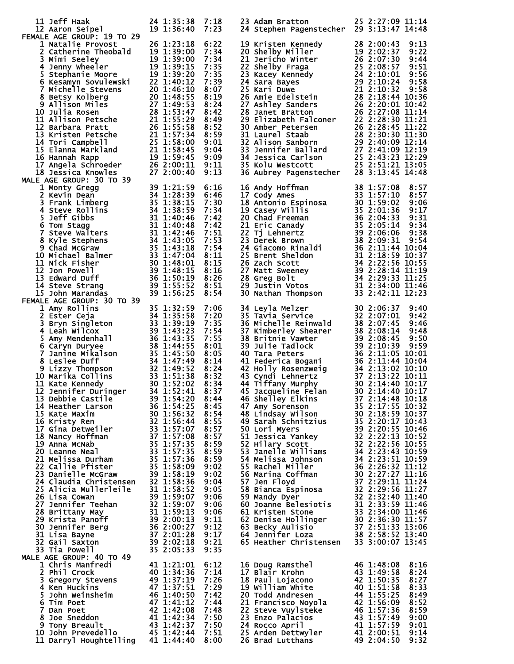|                                                                                                                                                                                                                                                                                    | 24 1:35:38 7:18                                                                                                            |              | 23 Adam Bratton                                                                                                                                                                                                                                        | 25 2:27:09 11:14                                                 |
|------------------------------------------------------------------------------------------------------------------------------------------------------------------------------------------------------------------------------------------------------------------------------------|----------------------------------------------------------------------------------------------------------------------------|--------------|--------------------------------------------------------------------------------------------------------------------------------------------------------------------------------------------------------------------------------------------------------|------------------------------------------------------------------|
| 11 Jerr Haak<br>12 Aaron Seipel<br>14 F (CT CT)                                                                                                                                                                                                                                    | 19 1:36:40 7:23                                                                                                            |              | 24 Stephen Pagenstecher 29 3:13:47 14:48                                                                                                                                                                                                               |                                                                  |
| FEMALE AGE GROUP: 19 TO 29<br>12 Aaron Seipel<br>FEMALE AGE GROUP: 19 TO 29<br>19 1:36:40<br>2 Catherine Theobald<br>2 Catherine Theobald<br>19 1:39:00 7:34<br>2 Catherine Theobald<br>19 1:39:00 7:34<br>4 Jenny Wheeler<br>5 Stephanie Moore<br>19 1:39:10 7:35<br>5 Kesamyn So |                                                                                                                            |              | 19 Kristen Kennedy<br>20 Shelby Miller<br>21 Jackbow Winter<br>26 2:00:43 9:13<br>21 Jackbow Winter<br>26 2:07:30 9:44<br>25 2:08:37 9:22<br>21 Shelby Fragga<br>26 2:07:30 9:44<br>25 2:08:57 9:54<br>24 2:10:01 9:56<br>24 Sara Bayes<br>29 2:10:24  |                                                                  |
|                                                                                                                                                                                                                                                                                    |                                                                                                                            |              |                                                                                                                                                                                                                                                        |                                                                  |
|                                                                                                                                                                                                                                                                                    |                                                                                                                            |              |                                                                                                                                                                                                                                                        |                                                                  |
|                                                                                                                                                                                                                                                                                    |                                                                                                                            |              |                                                                                                                                                                                                                                                        |                                                                  |
|                                                                                                                                                                                                                                                                                    |                                                                                                                            |              |                                                                                                                                                                                                                                                        |                                                                  |
|                                                                                                                                                                                                                                                                                    |                                                                                                                            |              |                                                                                                                                                                                                                                                        |                                                                  |
|                                                                                                                                                                                                                                                                                    |                                                                                                                            |              |                                                                                                                                                                                                                                                        |                                                                  |
|                                                                                                                                                                                                                                                                                    |                                                                                                                            |              |                                                                                                                                                                                                                                                        |                                                                  |
|                                                                                                                                                                                                                                                                                    |                                                                                                                            |              |                                                                                                                                                                                                                                                        |                                                                  |
|                                                                                                                                                                                                                                                                                    |                                                                                                                            |              |                                                                                                                                                                                                                                                        |                                                                  |
|                                                                                                                                                                                                                                                                                    |                                                                                                                            |              |                                                                                                                                                                                                                                                        |                                                                  |
|                                                                                                                                                                                                                                                                                    |                                                                                                                            |              |                                                                                                                                                                                                                                                        |                                                                  |
|                                                                                                                                                                                                                                                                                    |                                                                                                                            |              |                                                                                                                                                                                                                                                        |                                                                  |
|                                                                                                                                                                                                                                                                                    |                                                                                                                            |              |                                                                                                                                                                                                                                                        |                                                                  |
|                                                                                                                                                                                                                                                                                    |                                                                                                                            |              |                                                                                                                                                                                                                                                        |                                                                  |
|                                                                                                                                                                                                                                                                                    |                                                                                                                            |              |                                                                                                                                                                                                                                                        |                                                                  |
|                                                                                                                                                                                                                                                                                    |                                                                                                                            |              |                                                                                                                                                                                                                                                        |                                                                  |
|                                                                                                                                                                                                                                                                                    |                                                                                                                            |              | 16 Andy Hoffman<br>17 Cody Ames<br>18 Antonio Espinosa<br>18 Antonio Espinosa<br>18 Antonio Espinosa<br>19 Casey Willis<br>20 Chad Freeman<br>21 Eric Canady<br>21 Eric Canady<br>25 Tj Lehnertz<br>23 Derek Brown<br>24 Giacomo Rinaldi<br>25 Brent S |                                                                  |
|                                                                                                                                                                                                                                                                                    |                                                                                                                            |              |                                                                                                                                                                                                                                                        |                                                                  |
|                                                                                                                                                                                                                                                                                    |                                                                                                                            |              |                                                                                                                                                                                                                                                        |                                                                  |
|                                                                                                                                                                                                                                                                                    |                                                                                                                            |              |                                                                                                                                                                                                                                                        |                                                                  |
|                                                                                                                                                                                                                                                                                    |                                                                                                                            |              |                                                                                                                                                                                                                                                        |                                                                  |
|                                                                                                                                                                                                                                                                                    |                                                                                                                            |              |                                                                                                                                                                                                                                                        |                                                                  |
|                                                                                                                                                                                                                                                                                    |                                                                                                                            |              |                                                                                                                                                                                                                                                        |                                                                  |
|                                                                                                                                                                                                                                                                                    |                                                                                                                            |              |                                                                                                                                                                                                                                                        |                                                                  |
|                                                                                                                                                                                                                                                                                    |                                                                                                                            |              |                                                                                                                                                                                                                                                        |                                                                  |
|                                                                                                                                                                                                                                                                                    |                                                                                                                            |              |                                                                                                                                                                                                                                                        |                                                                  |
|                                                                                                                                                                                                                                                                                    |                                                                                                                            |              |                                                                                                                                                                                                                                                        |                                                                  |
|                                                                                                                                                                                                                                                                                    |                                                                                                                            |              |                                                                                                                                                                                                                                                        |                                                                  |
|                                                                                                                                                                                                                                                                                    |                                                                                                                            |              |                                                                                                                                                                                                                                                        |                                                                  |
|                                                                                                                                                                                                                                                                                    |                                                                                                                            |              |                                                                                                                                                                                                                                                        |                                                                  |
| 15 John Marandas<br>1 Amy Rollins<br>2 Ester Ceja<br>2 Ester Ceja<br>34 1:32:59<br>3 Bryn Singleton<br>4 Leah Wilcox<br>5 Amy Mendenhall<br>5 Amy Mendenhall<br>36 1:43:23<br>5 Amy Mendenhall<br>36 1:43:23<br>5 Amy Mendenhall<br>36 1:43:35<br>6 Caryn                          |                                                                                                                            | 7:06         | 34 Leyla Melzer<br>35 Tavia Service<br>32 2:07:01 9:42<br>36 Michelle Reinwald<br>38 2:07:45 9:46<br>37 Kimberley Shearer<br>38 2:08:14 9:48<br>38 Britnie Vawter<br>39 2:08:14 9:48<br>39 3110:39 9:59<br>40 Tara Peters<br>41 Federica Bogani<br>41  |                                                                  |
|                                                                                                                                                                                                                                                                                    |                                                                                                                            | 7:20         |                                                                                                                                                                                                                                                        |                                                                  |
|                                                                                                                                                                                                                                                                                    |                                                                                                                            | 7:35         |                                                                                                                                                                                                                                                        |                                                                  |
|                                                                                                                                                                                                                                                                                    |                                                                                                                            | 7:54         |                                                                                                                                                                                                                                                        |                                                                  |
|                                                                                                                                                                                                                                                                                    |                                                                                                                            | 7:55         |                                                                                                                                                                                                                                                        |                                                                  |
|                                                                                                                                                                                                                                                                                    |                                                                                                                            | 8:01         |                                                                                                                                                                                                                                                        |                                                                  |
|                                                                                                                                                                                                                                                                                    |                                                                                                                            | 8:05<br>8:14 |                                                                                                                                                                                                                                                        |                                                                  |
|                                                                                                                                                                                                                                                                                    |                                                                                                                            | 8:24         |                                                                                                                                                                                                                                                        |                                                                  |
|                                                                                                                                                                                                                                                                                    |                                                                                                                            | 8:32         |                                                                                                                                                                                                                                                        |                                                                  |
|                                                                                                                                                                                                                                                                                    |                                                                                                                            | 8:34         |                                                                                                                                                                                                                                                        |                                                                  |
| 12 Jennifer Duringer 34 1:52:41                                                                                                                                                                                                                                                    |                                                                                                                            | 8:37         | 45 Jacqueline Felan                                                                                                                                                                                                                                    | 30 2:14:40 10:17                                                 |
| 13 Debbie Castile                                                                                                                                                                                                                                                                  | 39 1:54:20                                                                                                                 | 8:44         | 46 Shelley Elkins                                                                                                                                                                                                                                      | 37 2:14:48 10:18                                                 |
| 14 Heather Larson<br>15 Kate Maxim                                                                                                                                                                                                                                                 | 36 1:54:25<br>30 1:56:32                                                                                                   | 8:45<br>8:54 | 47 Amy Sorenson<br>48 Lindsay Wilson                                                                                                                                                                                                                   | 35 2:17:55 10:32<br>30 2:18:59 10:37                             |
| 16 Kristy Ren                                                                                                                                                                                                                                                                      | 32 1:56:44                                                                                                                 | 8:55         |                                                                                                                                                                                                                                                        |                                                                  |
| 17 Gina Detweiler                                                                                                                                                                                                                                                                  | $33 \overline{1}$ :57:07                                                                                                   | 8:57         | 49 Sarah Schnitzius<br>50 Lori Myers<br>51 Jessica Yankey<br>52 Hilary Scott.<br>52 Hilary Scott.<br>52 Hilary Scott.<br>52 Hilary Scott.<br>52 Hilary Scott.<br>52 Hilary Scott.<br>52 Hilary Scott.                                                  |                                                                  |
|                                                                                                                                                                                                                                                                                    |                                                                                                                            | 8:57         |                                                                                                                                                                                                                                                        |                                                                  |
| 19 Anna McNab<br>19 Anna McNab<br>20 Leanne Neal<br>21 Melissa Durham<br>22 Callie Pfister<br>23 Danielle McCommunication 35 1:57:36<br>23 Danielle McCommunication 35 1:57:36                                                                                                     |                                                                                                                            | 8:59         |                                                                                                                                                                                                                                                        |                                                                  |
|                                                                                                                                                                                                                                                                                    |                                                                                                                            | 8:59         | 53 Janelle Williams<br>54 Melissa Johnson<br>54 Melissa Johnson<br>34 2:23:51 10:59                                                                                                                                                                    |                                                                  |
|                                                                                                                                                                                                                                                                                    |                                                                                                                            | 8:59<br>9:02 |                                                                                                                                                                                                                                                        | 36 2:26:32 11:12                                                 |
| 23 Danielle McGraw                                                                                                                                                                                                                                                                 | 35 1:58:09<br>39 1:58:19                                                                                                   | 9:02         | 55 Rachel Miller<br>56 Marina Coffman                                                                                                                                                                                                                  | $30\ \overline{2:}2\overline{7:}2\overline{7}\ \overline{11:}16$ |
| 24 Claudia Christensen                                                                                                                                                                                                                                                             | 32 1:58:36                                                                                                                 | 9:04         |                                                                                                                                                                                                                                                        | 37 2:29:11 11:24                                                 |
| $\overline{25}$ Alicia Mullerleile $\overline{31}$ $\overline{1:58:52}$                                                                                                                                                                                                            |                                                                                                                            | 9:05         | 57 Jen Floyd<br>58 Bianca Espinosa - 32 2:29:56 11:27                                                                                                                                                                                                  |                                                                  |
| 26 Lisa Cowan                                                                                                                                                                                                                                                                      | 39 1:59:07                                                                                                                 | 9:06         | 59 Mandy Dyer                                                                                                                                                                                                                                          | 32 2:32:40 11:40                                                 |
| 27 Jennifer Teehan                                                                                                                                                                                                                                                                 |                                                                                                                            | 9:06         | 60 Joanne Belesiotis 31 2:33:59 11:46                                                                                                                                                                                                                  |                                                                  |
| 28 Brittany May                                                                                                                                                                                                                                                                    |                                                                                                                            | 9:06         |                                                                                                                                                                                                                                                        |                                                                  |
| 29 Krista Panoff<br>30 Jennifer Berg                                                                                                                                                                                                                                               |                                                                                                                            | 9:11<br>9:12 | 60 Joanne Belesicales<br>61 Kristen Stone 33 2:34:00 11:57<br>62 Denise Hollinger 30 2:36:30 11:57<br>63 Becky Aulisio 37 2:51:33 13:06<br>23 2:58:52 13:40<br>23 2:58:52 13:40<br>23 2:00:07 13:45                                                    |                                                                  |
| 31 Lisa Bayne                                                                                                                                                                                                                                                                      |                                                                                                                            | 9:17         |                                                                                                                                                                                                                                                        |                                                                  |
| 32 Gail Saxton                                                                                                                                                                                                                                                                     |                                                                                                                            | 9:21         | 65 Heather Christensen 33 3:00:07 13:45                                                                                                                                                                                                                |                                                                  |
| 33 Tia Powell                                                                                                                                                                                                                                                                      | 39 1:59:07<br>32 1:59:07<br>31 1:59:13<br>39 2:00:13<br>36 2:00:27<br>37 2:01:28<br>39 2:02:18<br>35 2:05:33<br>35 2:05:33 | 9:35         |                                                                                                                                                                                                                                                        |                                                                  |
| MALE AGE GROUP: 40 TO 49                                                                                                                                                                                                                                                           |                                                                                                                            |              |                                                                                                                                                                                                                                                        |                                                                  |
| 1 Chris Manfredi                                                                                                                                                                                                                                                                   | 41 1:21:01                                                                                                                 | 6:12         | 16 Doug Ramsthel                                                                                                                                                                                                                                       | 46 1:48:08<br>8:16                                               |
| 2 Phil Crock                                                                                                                                                                                                                                                                       | 40 1:34:36<br>49 1:37:19                                                                                                   | 7:14<br>7:26 | 17 Blair Krohn                                                                                                                                                                                                                                         | 43 1:49:58<br>8:24<br>42 1:50:35                                 |
| 3 Gregory Stevens<br>4 Ken Huckins                                                                                                                                                                                                                                                 | 47 1:37:51                                                                                                                 | 7:29         | 18 Paul Lojacono<br>19 William White                                                                                                                                                                                                                   | 8:27<br>40 1:51:58<br>8:33                                       |
| 5 John Weinsheim                                                                                                                                                                                                                                                                   | 46 1:40:50                                                                                                                 | 7:42         | 20 Todd Andresen                                                                                                                                                                                                                                       | 44 1:55:25<br>8:49                                               |
| 6 Tim Poet                                                                                                                                                                                                                                                                         | 47 1:41:12                                                                                                                 | 7:44         | 21 Francisco Noyola                                                                                                                                                                                                                                    | 42 1:56:09<br>8:52                                               |
| 7 Dan Poet                                                                                                                                                                                                                                                                         | 42 1:42:08                                                                                                                 | 7:48         | 22 Steve Vuylsteke                                                                                                                                                                                                                                     | 461.57:36<br>8:59                                                |
| 8 Joe Sneddon                                                                                                                                                                                                                                                                      | 41 1:42:34                                                                                                                 | 7:50         | 23 Enzo Palacios                                                                                                                                                                                                                                       | 43 1:57:49<br>41 1:57:59<br>9:00                                 |
| 9 Tony Breault                                                                                                                                                                                                                                                                     | 43 1:42:37                                                                                                                 | 7:50         | 24 Rocco April                                                                                                                                                                                                                                         | 9:01                                                             |
| 10 John Prevedello<br>11 Darryl Houghtelling 41 1:44:40                                                                                                                                                                                                                            | 45 1:42:44                                                                                                                 | 7:51<br>8:00 | 25 Arden Dettwyler<br>26 Brad Lutthans                                                                                                                                                                                                                 | 41 2:00:51<br>9:14<br>49 2:04:50<br>9:32                         |
|                                                                                                                                                                                                                                                                                    |                                                                                                                            |              |                                                                                                                                                                                                                                                        |                                                                  |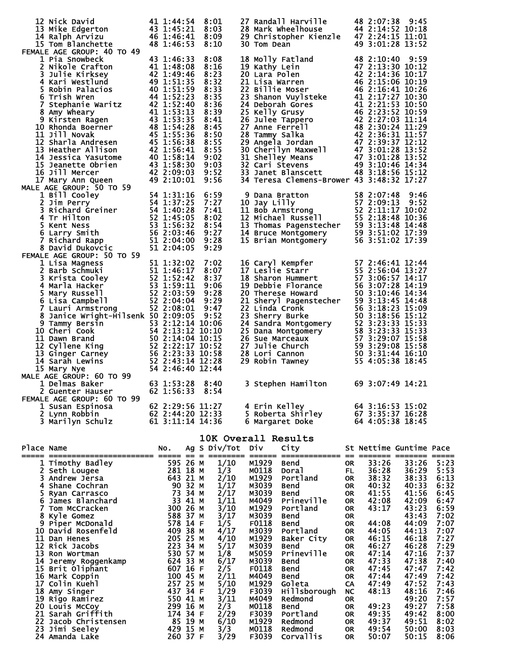|            | 12 Nick David<br>13 Mike Edgerton 43 1:45:21 8:03<br>14 Ralph Arvizu 46 1:46:41 8:09<br>14 As 1:46:53 8:10<br>15 Tom Blanchette                                                                                                                                                                                                   | 48 1:46:53 | 8:10                                                                                                             | 30 Tom Dean                                                                                                                         | 27 Randall Harville<br>28 Mark Wheelhouse<br>29 Christopher Kienzle<br>44 2:14:52 10:18<br>29 Christopher Kienzle<br>42 3:24:15 11:01                                                                                                                                                                 |                                                                                                                                              | 49 3:01:28 13:52                                                                                                           |                                                                                                                                     |                                                                                                                      |
|------------|-----------------------------------------------------------------------------------------------------------------------------------------------------------------------------------------------------------------------------------------------------------------------------------------------------------------------------------|------------|------------------------------------------------------------------------------------------------------------------|-------------------------------------------------------------------------------------------------------------------------------------|-------------------------------------------------------------------------------------------------------------------------------------------------------------------------------------------------------------------------------------------------------------------------------------------------------|----------------------------------------------------------------------------------------------------------------------------------------------|----------------------------------------------------------------------------------------------------------------------------|-------------------------------------------------------------------------------------------------------------------------------------|----------------------------------------------------------------------------------------------------------------------|
|            | FEMALE AGE GROUP: 40 TO 49<br>1 Pia Snowbeck<br>FEMALE AGE GROUP: 40<br>1 Pia Snowbeck 43 1:46:33 8:08<br>2 Nikole Crafton 41 1:48:08 8:16<br>3 Julie Kirksey 42 1:49:46 8:23<br>4 Kari Westlund 49 1:51:35 8:32<br>5 Robin Palacios 40 1:51:59 8:33<br>6 Trish Wreary 44 1:52:23 8:335<br>6                                      | 43 1:46:33 | 8:08                                                                                                             |                                                                                                                                     | 18 Molly Fatland<br>20 Lara Polen<br>20 Lara Polen<br>21 Lisa Warren<br>22 Cara Polen<br>22 Cara Polen<br>22 Cara Polen<br>22 Cara Polen<br>22 Cara Polen<br>42 2:14:36 10:12<br>22 Carl (10:26<br>23 Shanon Vuylsteke<br>46 2:16:41 10:26<br>24 Deborah<br>34 Teresa Clemens-Brower 43 3:48:32 17:27 |                                                                                                                                              |                                                                                                                            |                                                                                                                                     |                                                                                                                      |
|            |                                                                                                                                                                                                                                                                                                                                   |            |                                                                                                                  |                                                                                                                                     | 9 Dana Bratton 58 2:07:48 9:46<br>10 Jay Lilly 57 2:09:13 9:52<br>11 Bob Armstrong 52 2:11:17 10:02<br>12 Michael Russell 55 2:18:48 10:36<br>13 Thomas Pagenstecher 59 3:13:48 14:48<br>14 Bruce Montgomery 59 3:51:02 17:39<br>15 Brian                                                             |                                                                                                                                              |                                                                                                                            |                                                                                                                                     |                                                                                                                      |
|            | FEMALE AGE GROUP: 50 TO 59<br>1 Lisa Magness<br>2 Barb Schmuki<br>3 Krista Cooley<br>3 Strista Cooley<br>51 1:32:02 7:02<br>3 Arista Cooley<br>52 1:52:42 8:37<br>4 Marla Hacker<br>53 1:59:11 9:06<br>5 Mary Russell<br>6 Lisa Campbell<br>6 Lisa Campbell<br>52 2:03:59 9:28<br>6 Li<br>8 Janice Wright-Hilsenk 50 2:09:05 9:52 |            |                                                                                                                  |                                                                                                                                     | 16 Caryl Kempfer<br>17 Leslie Starr<br>18 Sharon Hummert<br>18 Sharon Hummert<br>57 2:46:41 12:44<br>19 Debbie Florance<br>56 3:06:57 14:17<br>19 Debbie Florance<br>56 3:06:57 14:19<br>20 Therese Howard<br>50 3:10:46 14:34<br>21 Sheryl Pagenste                                                  |                                                                                                                                              |                                                                                                                            |                                                                                                                                     |                                                                                                                      |
|            | 9 Tammy Bersin<br>9 Tammy Bersin<br>10 Cheri Cook<br>10 Cheri Cook<br>11 Dawn Brand<br>11 Dawn Brand<br>13 Gyllene King<br>13 Ginger Carney<br>14 Sarah Lewins<br>14 Sarah Lewins<br>14 Sarah Lewins<br>14 Sarah Lewins<br>14 Sarah Lewins<br>14 Sarah L                                                                          |            |                                                                                                                  |                                                                                                                                     |                                                                                                                                                                                                                                                                                                       |                                                                                                                                              |                                                                                                                            |                                                                                                                                     |                                                                                                                      |
|            | 2 Guenter Hauser 62 1:56:33 8:54<br>FEMALE AGE GROUP: 60 TO 99<br>1 Susan Espinosa<br>2 Lynn Robbin<br>3 Marilyn Schulz 62 2:44:20 12:33<br>5 Marilyn Schulz 61 3:11:14 14:36                                                                                                                                                     |            | 62 2:29:56 11:27                                                                                                 |                                                                                                                                     | 3 Stephen Hamilton 69 3:07:49 14:21<br>4 Erin Kelley<br>5 Roberta Shirley 67 3:35:37 16:28<br>6 Margaret Doke 64 4:05:38 18:45                                                                                                                                                                        |                                                                                                                                              | 64 3:16:53 15:02                                                                                                           |                                                                                                                                     |                                                                                                                      |
|            |                                                                                                                                                                                                                                                                                                                                   |            |                                                                                                                  |                                                                                                                                     | 10K Overall Results                                                                                                                                                                                                                                                                                   |                                                                                                                                              |                                                                                                                            |                                                                                                                                     |                                                                                                                      |
| Place Name |                                                                                                                                                                                                                                                                                                                                   | NO.        | Ag S Div/Tot Div                                                                                                 |                                                                                                                                     | City                                                                                                                                                                                                                                                                                                  |                                                                                                                                              | St Nettime Guntime Pace                                                                                                    |                                                                                                                                     |                                                                                                                      |
|            | ace Name Contract Music and Music and Music and Sandy Contract of the Manney Contract of the SRam Carrier of the SRam Carrier of the SRam Carrier of the SRAm Carrier of the SRAm Carrier of the SRAm Carrier of the SRAm Carr                                                                                                    |            | 1/10<br>1/3<br>2/10<br>1/17<br>2/17<br>1/11<br>3/10<br>3/17<br>1/5<br>4/17<br>4/10<br>5/17<br>1/8<br>6/17<br>2/5 | M1929<br>M0118<br>M1929<br>M3039<br>M3039<br>M4049<br>M1929<br>M3039<br>F0118<br>M3039<br>M1929<br>M3039<br>M5059<br>M3039<br>F0118 | Bend<br>Doral<br>Dura<br>Portland<br>Bend<br>Bend<br>Prineville<br>Portland<br>Bend<br>Bend<br>Portland<br>Baker City<br>Bend<br>Prineville<br>Bend<br>Bend                                                                                                                                           | 0R<br><b>FL</b><br>OR<br>OR .<br>OR.<br>OR<br>OR .<br><b>OR</b><br>OR<br><b>OR</b><br>0R<br><b>OR</b><br><b>OR</b><br><b>OR</b><br><b>OR</b> | 33:26<br>36:28<br>38:32<br>40:32<br>41:55<br>42:08<br>43:17<br>44:08<br>44:05<br>46:15<br>46:27<br>47:14<br>47:33<br>47:45 | 33:26<br>36:29<br>38:33<br>40:33<br>41:56<br>42:09<br>43:23<br>43:43<br>44:09<br>44:13<br>46:18<br>46:28<br>47:16<br>47:38<br>47:47 | 5:23<br>5:53<br>6:13<br>6:32<br>6:45<br>6:47<br>6:59<br>7:02<br>7:07<br>7:07<br>7:27<br>7:29<br>7:37<br>7:40<br>7:42 |
|            |                                                                                                                                                                                                                                                                                                                                   |            | 2/11<br>5/10<br>1/29<br>3/11<br>2/3<br>2/29<br>6/10<br>3/3<br>3/29                                               | M4049<br>M1929<br>F3039<br>M4049<br>M0118<br>F3039<br>M1929<br>M0118<br>F3039                                                       | Bend<br>Goleta<br>Hillsborough<br>Redmond<br>Bend<br>Portland<br>Redmond<br>Redmond<br>Corvallis                                                                                                                                                                                                      | <b>OR</b><br>CA<br>NC<br>0R<br>0R<br>0R<br><b>OR</b><br><b>OR</b><br><b>OR</b>                                                               | 47:44<br>47:49<br>48:13<br>49:23<br>49:35<br>49:37<br>49:54<br>50:07                                                       | 47:49<br>47:52<br>48:16<br>49:20<br>49:27<br>49:42<br>49:51<br>50:00<br>50:15                                                       | 7:42<br>7:43<br>7:46<br>7:57<br>7:58<br>8:00<br>8:02<br>8:03<br>8:06                                                 |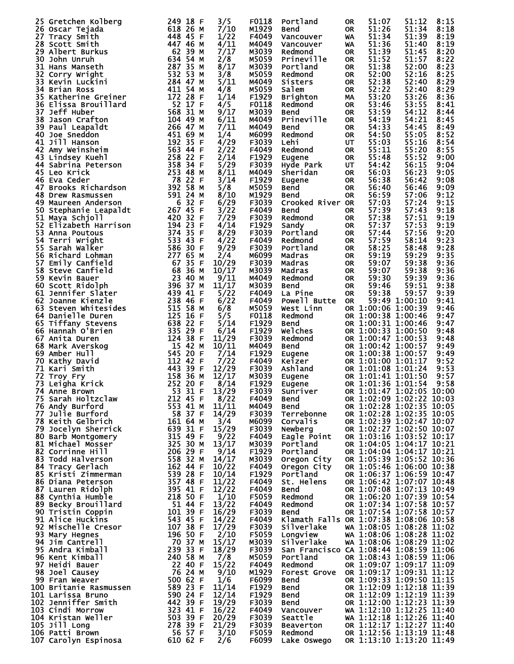|    | 25 Gretchen Kolberg                                                                                                                                                                                                                                    | 249 18 F                                                                                                                                                                                                       | 3/5   | F0118             | Portland                               | 0R        | 51:07              | 51:12                    | 8:15 |
|----|--------------------------------------------------------------------------------------------------------------------------------------------------------------------------------------------------------------------------------------------------------|----------------------------------------------------------------------------------------------------------------------------------------------------------------------------------------------------------------|-------|-------------------|----------------------------------------|-----------|--------------------|--------------------------|------|
|    | 26 Oscar Tejada                                                                                                                                                                                                                                        | 449 10 г<br>618 2 <u>6</u> м                                                                                                                                                                                   | 7/10  | M1929             | Bend                                   | <b>OR</b> | 51:26              | 51:34                    | 8:18 |
|    | 27 Tracy Smith                                                                                                                                                                                                                                         | 448 45 F                                                                                                                                                                                                       | 1/22  | F4049             | Vancouver                              | <b>WA</b> | 51:34              | 51:39                    | 8:19 |
|    | 28 Scott Smith                                                                                                                                                                                                                                         | 447 46 M                                                                                                                                                                                                       | 4/11  | M4049             |                                        |           | 51:36              | 51:40                    | 8:19 |
|    |                                                                                                                                                                                                                                                        |                                                                                                                                                                                                                |       |                   | Vancouver                              | <b>WA</b> |                    |                          |      |
|    | 29 Albert Burkus                                                                                                                                                                                                                                       | 62 39 м<br>634 54 м                                                                                                                                                                                            | 7/17  | M3039             | Redmond                                | <b>OR</b> | 51:39              | 51:45                    | 8:20 |
|    | 30 John Unruh                                                                                                                                                                                                                                          |                                                                                                                                                                                                                | 2/8   | M5059             | Prineville                             | OR.       | 51:52              | 51:57                    | 8:22 |
|    | 31 Hans Manseth                                                                                                                                                                                                                                        |                                                                                                                                                                                                                | 8/17  | M3039             | Portland                               | <b>OR</b> | 51:38              | 52:00                    | 8:23 |
| 32 | 287 35 M<br>532 53 M<br>284 47 M<br>411 54 M<br>Corry wright                                                                                                                                                                                           |                                                                                                                                                                                                                | 3/8   | M5059             | Redmond                                | <b>OR</b> | 52:00              | 52:16                    | 8:25 |
|    |                                                                                                                                                                                                                                                        |                                                                                                                                                                                                                |       |                   |                                        |           |                    |                          |      |
| 33 | Kevin Luckini                                                                                                                                                                                                                                          |                                                                                                                                                                                                                | 5/11  | M4049             | <b>Sisters</b>                         | <b>OR</b> | 52:38              | 52:40                    | 8:29 |
|    |                                                                                                                                                                                                                                                        |                                                                                                                                                                                                                | 4/8   | M5059             | Salem                                  | 0R        | 52:22              | 52:40                    | 8:29 |
|    |                                                                                                                                                                                                                                                        |                                                                                                                                                                                                                | 1/14  | F1929             | <b>Brighton</b>                        | MA        | 53:20              | 53:26                    | 8:36 |
|    |                                                                                                                                                                                                                                                        |                                                                                                                                                                                                                | 4/5   | F0118             | Redmond                                | 0R        | 53:46              | 53:55                    | 8:41 |
|    |                                                                                                                                                                                                                                                        |                                                                                                                                                                                                                |       |                   |                                        |           | 53:59              |                          |      |
|    |                                                                                                                                                                                                                                                        |                                                                                                                                                                                                                | 9/17  | M3039             | Bend                                   | OR.       |                    | 54:12                    | 8:44 |
|    |                                                                                                                                                                                                                                                        |                                                                                                                                                                                                                | 6/11  | M4049             | Prineville                             | 0R        | 54:19              | 54:21                    | 8:45 |
|    |                                                                                                                                                                                                                                                        |                                                                                                                                                                                                                | 7/11  | M4049             | <b>Bend</b>                            | <b>OR</b> | 54:33              | 54:45                    | 8:49 |
|    |                                                                                                                                                                                                                                                        |                                                                                                                                                                                                                | 1/4   | M6099             | Redmond                                | <b>OR</b> | 54:50              | 55:05                    | 8:52 |
|    |                                                                                                                                                                                                                                                        |                                                                                                                                                                                                                | 4/29  | F3039             | Lehi                                   | UT        | 55:03              | 55:16                    | 8:54 |
|    |                                                                                                                                                                                                                                                        |                                                                                                                                                                                                                |       |                   |                                        |           |                    |                          |      |
|    |                                                                                                                                                                                                                                                        |                                                                                                                                                                                                                | 2/22  | F4049             | Redmond                                | 0R        | 55:11              | 55:20                    | 8:55 |
|    |                                                                                                                                                                                                                                                        |                                                                                                                                                                                                                | 2/14  | F1929             | Eugene                                 | <b>OR</b> | 55:48              | 55:52                    | 9:00 |
|    |                                                                                                                                                                                                                                                        |                                                                                                                                                                                                                | 5/29  | F3039             | Hyde Park                              | UT.       | 54:42              | 56:15                    | 9:04 |
|    |                                                                                                                                                                                                                                                        |                                                                                                                                                                                                                | 8/11  | M4049             | Sheridan                               | <b>OR</b> | 56:03              | 56:23                    | 9:05 |
|    |                                                                                                                                                                                                                                                        |                                                                                                                                                                                                                |       |                   |                                        |           |                    |                          |      |
|    |                                                                                                                                                                                                                                                        |                                                                                                                                                                                                                | 3/14  | F <sub>1929</sub> | Eugene                                 | 0R        | 56:38              | 56:42                    | 9:08 |
|    |                                                                                                                                                                                                                                                        |                                                                                                                                                                                                                | 5/8   | M5059             | <b>Bend</b>                            | <b>OR</b> | 56:40              | 56:46                    | 9:09 |
|    |                                                                                                                                                                                                                                                        |                                                                                                                                                                                                                | 8/10  | M1929             | Bend                                   | <b>OR</b> | 56:59              | 57:06                    | 9:12 |
|    |                                                                                                                                                                                                                                                        |                                                                                                                                                                                                                | 6/29  | F3039             | Crooked River OR                       |           | 57:03              | 57:24                    | 9:15 |
|    |                                                                                                                                                                                                                                                        |                                                                                                                                                                                                                |       |                   |                                        |           |                    |                          |      |
|    |                                                                                                                                                                                                                                                        |                                                                                                                                                                                                                | 3/22  | F4049             | <b>Bend</b>                            | OR.       | 57:39              | 57:43                    | 9:18 |
|    |                                                                                                                                                                                                                                                        |                                                                                                                                                                                                                | 7/29  | F3039             | Redmond                                | <b>OR</b> | 57:38              | 57:51                    | 9:19 |
|    |                                                                                                                                                                                                                                                        |                                                                                                                                                                                                                | 4/14  | F <sub>1929</sub> | Sandy                                  | <b>OR</b> | 57:37              | 57:53                    | 9:19 |
|    |                                                                                                                                                                                                                                                        |                                                                                                                                                                                                                | 8/29  | F3039             | Portland                               | <b>OR</b> | 57:44              | 57:56                    | 9:20 |
|    |                                                                                                                                                                                                                                                        |                                                                                                                                                                                                                | 4/22  | F4049             | Redmond                                | <b>OR</b> | 57:59              | 58:14                    | 9:23 |
|    |                                                                                                                                                                                                                                                        |                                                                                                                                                                                                                |       |                   |                                        |           |                    |                          |      |
|    |                                                                                                                                                                                                                                                        |                                                                                                                                                                                                                | 9/29  | F3039             | Portland                               | <b>OR</b> | 58:25              | 58:48                    | 9:28 |
|    |                                                                                                                                                                                                                                                        |                                                                                                                                                                                                                | 2/4   | M6099             | Madras                                 | OR.       | 59:19              | 59:29                    | 9:35 |
|    |                                                                                                                                                                                                                                                        |                                                                                                                                                                                                                | 10/29 | F3039             | Madras                                 | 0R        | 59:07              | 59:38                    | 9:36 |
|    |                                                                                                                                                                                                                                                        |                                                                                                                                                                                                                | 10/17 | M3039             | Madras                                 | 0R        | 59:07              | 59:38                    | 9:36 |
|    |                                                                                                                                                                                                                                                        |                                                                                                                                                                                                                |       |                   |                                        |           |                    |                          |      |
|    |                                                                                                                                                                                                                                                        |                                                                                                                                                                                                                | 9/11  | M4049             | Redmond                                | <b>OR</b> | 59:30              | 59:39                    | 9:36 |
|    |                                                                                                                                                                                                                                                        |                                                                                                                                                                                                                | 11/17 | M3039             | <b>Bend</b>                            | <b>OR</b> | 59:46              | 59:51                    | 9:38 |
|    |                                                                                                                                                                                                                                                        |                                                                                                                                                                                                                | 5/22  | F4049             | La Pine                                | <b>OR</b> | 59:38              | 59:57                    | 9:39 |
|    |                                                                                                                                                                                                                                                        | 238 46 F                                                                                                                                                                                                       | 6/22  | F4049             | Powell Butte                           | OR.       |                    | 59:49 1:00:10            | 9:41 |
|    | 33 Kevin Luckini<br>34 Brian Ross<br>Satherine Greiner<br>36 Elissa Brouillard<br>37 Jeff Huber<br>36 Elissa Brouillard<br>37 Jeff Huber<br>36 Elissa Brouillard<br>37 Jeff Huber<br>36 Sinson Crafton<br>39 Paul Leapaldt<br>40 Joe Sneddon<br>41 Jil |                                                                                                                                                                                                                | 6/8   | M5059             | West Linn                              |           | OR 1:00:06 1:00:39 |                          | 9:46 |
|    |                                                                                                                                                                                                                                                        |                                                                                                                                                                                                                |       |                   |                                        |           |                    |                          |      |
|    |                                                                                                                                                                                                                                                        |                                                                                                                                                                                                                | 5/5   | F0118             | Redmond                                |           | OR 1:00:38 1:00:46 |                          | 9:47 |
|    |                                                                                                                                                                                                                                                        |                                                                                                                                                                                                                | 5/14  | F1929             | <b>Bend</b>                            |           | OR 1:00:31 1:00:46 |                          | 9:47 |
|    | 62 Joanne Kienzle<br>63 Steven Whitesides<br>63 Steven Whitesides<br>64 Danielle Duren<br>65 Tiffany Stevens<br>65 Tiffany Stevens<br>66 Hannah O'Brien<br>67 Anita Duren<br>67 Anita Duren<br>67 Anita Duren<br>68 Mark Averskog<br>69 Amber Hull<br> |                                                                                                                                                                                                                | 6/14  | F1929             | Welches                                |           | OR 1:00:33 1:00:50 |                          | 9:48 |
|    |                                                                                                                                                                                                                                                        |                                                                                                                                                                                                                | 11/29 | F3039             | Redmond                                |           | OR 1:00:47 1:00:53 |                          | 9:48 |
|    |                                                                                                                                                                                                                                                        |                                                                                                                                                                                                                |       |                   |                                        |           |                    |                          |      |
|    |                                                                                                                                                                                                                                                        |                                                                                                                                                                                                                | 10/11 | M4049             | <b>Bend</b>                            |           | OR 1:00:42 1:00:57 |                          | 9:49 |
|    |                                                                                                                                                                                                                                                        |                                                                                                                                                                                                                | 7/14  | F <sub>1929</sub> | Eugene                                 |           | OR 1:00:38 1:00:57 |                          | 9:49 |
|    |                                                                                                                                                                                                                                                        |                                                                                                                                                                                                                | 7/22  | F4049             | Keizer                                 |           | OR 1:01:00 1:01:17 |                          | 9:52 |
|    |                                                                                                                                                                                                                                                        |                                                                                                                                                                                                                | 12/29 | F3039             | Ashland                                |           | OR 1:01:08 1:01:24 |                          | 9:53 |
|    |                                                                                                                                                                                                                                                        |                                                                                                                                                                                                                | 12/17 | M3039             | Eugene                                 |           | OR 1:01:41 1:01:50 |                          | 9:57 |
|    |                                                                                                                                                                                                                                                        |                                                                                                                                                                                                                |       |                   |                                        |           |                    |                          |      |
|    |                                                                                                                                                                                                                                                        |                                                                                                                                                                                                                | 8/14  | F <sub>1929</sub> | Eugene                                 |           | OR 1:01:36 1:01:54 |                          | 9:58 |
|    | 74 Anne Brown<br>74 Anne prom.<br>75 Sarah Holtzclaw<br>11 Durford                                                                                                                                                                                     | 53 31 F                                                                                                                                                                                                        | 13/29 | F3039             | Sunriver                               |           |                    | OR 1:01:47 1:02:05 10:00 |      |
|    |                                                                                                                                                                                                                                                        | 212 45 F<br>553 41 M                                                                                                                                                                                           | 8/22  | F4049             | Bend                                   |           |                    | OR 1:02:09 1:02:22 10:03 |      |
|    |                                                                                                                                                                                                                                                        |                                                                                                                                                                                                                | 11/11 | M4049             | Bend                                   |           |                    | OR 1:02:28 1:02:35 10:05 |      |
|    | 77 Julie Burford                                                                                                                                                                                                                                       |                                                                                                                                                                                                                | 14/29 | F3039             | Terrebonne                             |           |                    | OR 1:02:28 1:02:35 10:05 |      |
|    |                                                                                                                                                                                                                                                        | 58<br>58<br>58<br>58<br>57<br>529<br>31<br>5<br>32<br>5<br>30<br>50<br>20<br>5<br>20<br>5<br>20<br>5<br>20<br>5<br>9<br>5<br>5<br>9<br>5<br>9<br>5<br>9<br>5<br>9<br>5<br>9<br>5<br>20<br>5<br><br>50<br>5<br> |       |                   |                                        |           |                    |                          |      |
|    | 78 Keith Gelbrich                                                                                                                                                                                                                                      |                                                                                                                                                                                                                | 3/4   | м6099             | Corvalis                               |           |                    | OR 1:02:39 1:02:47 10:07 |      |
|    | <b>79 Jocelyn Sherrick<br/>80 Barb Montgomery<br/>81 Michael Mosser</b>                                                                                                                                                                                |                                                                                                                                                                                                                | 15/29 | F3039             | Newberg                                |           |                    | OR 1:02:27 1:02:50 10:07 |      |
|    |                                                                                                                                                                                                                                                        |                                                                                                                                                                                                                | 9/22  | F4049             | Eagle Point                            |           |                    | OR 1:03:16 1:03:52 10:17 |      |
|    |                                                                                                                                                                                                                                                        |                                                                                                                                                                                                                | 13/17 | M3039             | Portland                               |           |                    | OR 1:04:05 1:04:17 10:21 |      |
|    | 82 Corrinne Hill                                                                                                                                                                                                                                       |                                                                                                                                                                                                                |       | F <sub>1929</sub> | Portland                               |           |                    | OR 1:04:04 1:04:17 10:21 |      |
|    |                                                                                                                                                                                                                                                        |                                                                                                                                                                                                                | 9/14  |                   |                                        |           |                    |                          |      |
|    | 83 Todd Halverson                                                                                                                                                                                                                                      | 558 32 M<br>162 44 F                                                                                                                                                                                           | 14/17 | M3039             | Oregon City                            |           |                    | OR 1:05:39 1:05:52 10:36 |      |
|    | 84 Tracy Gerlach                                                                                                                                                                                                                                       |                                                                                                                                                                                                                | 10/22 | F4049             | Oregon City                            |           |                    | OR 1:05:46 1:06:00 10:38 |      |
|    | 85 Kristi Zimmerman                                                                                                                                                                                                                                    |                                                                                                                                                                                                                | 10/14 | F <sub>1929</sub> | Portland                               |           |                    | OR 1:06:37 1:06:59 10:47 |      |
|    |                                                                                                                                                                                                                                                        | 539 28 F<br>357 48 F<br>395 41 F<br>2 <u>1</u> 8 50 F                                                                                                                                                          | 11/22 | F4049             | St. Helens                             |           |                    | OR 1:06:42 1:07:07 10:48 |      |
|    |                                                                                                                                                                                                                                                        |                                                                                                                                                                                                                | 12/22 | F4049             | Bend                                   |           |                    | OR 1:07:08 1:07:13 10:49 |      |
|    |                                                                                                                                                                                                                                                        |                                                                                                                                                                                                                |       |                   |                                        |           |                    |                          |      |
|    |                                                                                                                                                                                                                                                        |                                                                                                                                                                                                                | 1/10  | F5059             | Redmond                                |           |                    | OR 1:06:20 1:07:39 10:54 |      |
|    |                                                                                                                                                                                                                                                        |                                                                                                                                                                                                                | 13/22 | F4049             | Redmond                                |           |                    | OR 1:07:34 1:07:58 10:57 |      |
|    | 36 Diana<br>87 Lauren Ridolpn<br>88 Cynthia Humble<br>89 Becky Brouillard<br>^^ Tristin Coppin                                                                                                                                                         |                                                                                                                                                                                                                | 16/29 | F3039             | Bend                                   |           |                    | OR 1:07:54 1:07:58 10:57 |      |
|    |                                                                                                                                                                                                                                                        |                                                                                                                                                                                                                | 14/22 | F4049             | Klamath Falls OR 1:07:38 1:08:06 10:58 |           |                    |                          |      |
|    |                                                                                                                                                                                                                                                        |                                                                                                                                                                                                                | 17/29 | F3039             | Silverlake                             |           |                    | WA 1:08:05 1:08:28 11:02 |      |
|    |                                                                                                                                                                                                                                                        |                                                                                                                                                                                                                |       |                   |                                        |           |                    |                          |      |
|    | 92 Mischelle Cresor<br>93 Mary Hegnes                                                                                                                                                                                                                  | <b>51 44 F<br/>101 39 F F<br/>543 45 F F<br/>107 38 F F<br/>196 50 F<br/>70 370 70 370</b>                                                                                                                     | 2/10  | F5059             | Longview                               |           |                    | WA 1:08:06 1:08:28 11:02 |      |
|    | 94 Jim Cantrell                                                                                                                                                                                                                                        |                                                                                                                                                                                                                | 15/17 | M3039             | Silverlake                             |           |                    | WA 1:08:06 1:08:29 11:02 |      |
|    | 95 Andra Kimball                                                                                                                                                                                                                                       | 239 33 F                                                                                                                                                                                                       | 18/29 | F3039             | San Francisco CA 1:08:44 1:08:59 11:06 |           |                    |                          |      |
|    | 96 Kent Kimball                                                                                                                                                                                                                                        | 240 58 M                                                                                                                                                                                                       | 7/8   | M5059             | Portland                               |           |                    | OR 1:08:43 1:08:59 11:06 |      |
|    |                                                                                                                                                                                                                                                        |                                                                                                                                                                                                                |       |                   |                                        |           |                    | OR 1:09:07 1:09:17 11:09 |      |
|    |                                                                                                                                                                                                                                                        |                                                                                                                                                                                                                | 15/22 | F4049             | Redmond                                |           |                    |                          |      |
|    |                                                                                                                                                                                                                                                        |                                                                                                                                                                                                                | 9/10  | M1929             | Forest Grove OR 1:09:17 1:09:31 11:12  |           |                    |                          |      |
|    |                                                                                                                                                                                                                                                        |                                                                                                                                                                                                                | 1/6   | F6099             | <b>Bend</b>                            |           |                    | OR 1:09:33 1:09:50 11:15 |      |
|    |                                                                                                                                                                                                                                                        |                                                                                                                                                                                                                | 11/14 | F <sub>1929</sub> | Bend                                   |           |                    | OR 1:12:09 1:12:18 11:39 |      |
|    |                                                                                                                                                                                                                                                        |                                                                                                                                                                                                                | 12/14 | F <sub>1929</sub> | Bend                                   |           |                    | OR 1:12:09 1:12:19 11:39 |      |
|    |                                                                                                                                                                                                                                                        |                                                                                                                                                                                                                |       |                   |                                        |           |                    | OR 1:12:00 1:12:23 11:39 |      |
|    |                                                                                                                                                                                                                                                        |                                                                                                                                                                                                                | 19/29 | F3039             | Bend                                   |           |                    |                          |      |
|    |                                                                                                                                                                                                                                                        |                                                                                                                                                                                                                | 16/22 | F4049             | Benu<br>Vancouver                      |           |                    | WA 1:12:10 1:12:25 11:40 |      |
|    |                                                                                                                                                                                                                                                        |                                                                                                                                                                                                                | 20/29 | F3039             | Seattle                                |           |                    | WA 1:12:18 1:12:26 11:40 |      |
|    |                                                                                                                                                                                                                                                        |                                                                                                                                                                                                                | 21/29 | F3039             | Beaverton                              |           |                    | OR 1:12:17 1:12:27 11:40 |      |
|    | 96 Kent K1mball<br>97 Heidi Bauer<br>98 Joel Causey<br>99 Fran Weaver<br>100 Britanie Rasmussen<br>101 Larissa Bruno<br>102 Jenniffer Smith<br>103 Cindi Morrow<br>103 Cindi Morrow<br>104 Kristan Weller<br>105 Jill Long<br>105 Jill Long<br>106 Pat |                                                                                                                                                                                                                | 3/10  | <b>F5059</b>      | Redmond                                |           |                    | OR 1:12:56 1:13:19 11:48 |      |
|    |                                                                                                                                                                                                                                                        |                                                                                                                                                                                                                | 2/6   | F6099             |                                        |           |                    |                          |      |
|    |                                                                                                                                                                                                                                                        |                                                                                                                                                                                                                |       |                   |                                        |           |                    |                          |      |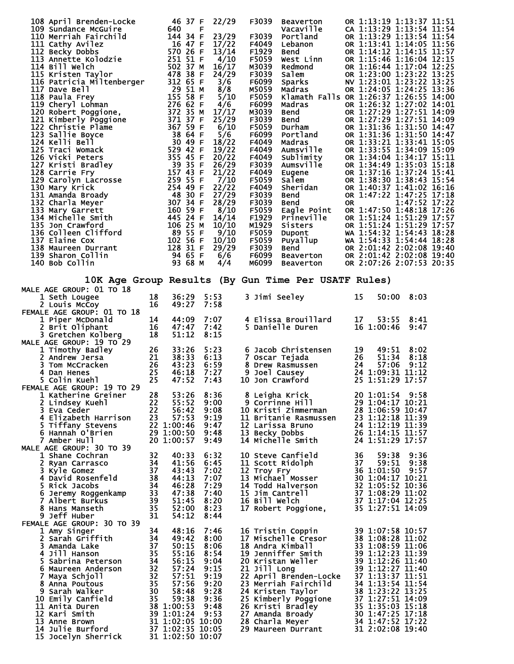|                                                                                                                                                                                                                                                |           |                                      | 22/29          | F3039            | Beaverton                                                                                                                    | OR 1:13:19 1:13:37 11:51                                                                                                                                                                                                                   |
|------------------------------------------------------------------------------------------------------------------------------------------------------------------------------------------------------------------------------------------------|-----------|--------------------------------------|----------------|------------------|------------------------------------------------------------------------------------------------------------------------------|--------------------------------------------------------------------------------------------------------------------------------------------------------------------------------------------------------------------------------------------|
|                                                                                                                                                                                                                                                |           |                                      |                |                  | <b>beaverton<br/>Vacaville<br/>Portland<br/>Lebanon<br/>Bend<br/>Bendmond<br/>Salem<br/>Sparks<br/>Madras (Ramath Falle)</b> | CA 1:13:29 1:13:54 11:54                                                                                                                                                                                                                   |
|                                                                                                                                                                                                                                                |           |                                      | 23/29          | F3039<br>F4049   |                                                                                                                              | OR 1:13:29 1:13:54 11:54<br>OR 1:13:41 1:14:05 11:56                                                                                                                                                                                       |
|                                                                                                                                                                                                                                                |           |                                      | 17/22<br>13/14 | F1929            |                                                                                                                              | OR 1:14:12 1:14:15 11:57                                                                                                                                                                                                                   |
|                                                                                                                                                                                                                                                |           |                                      | 4/10           | F5059            |                                                                                                                              | OR 1:15:46 1:16:04 12:15                                                                                                                                                                                                                   |
|                                                                                                                                                                                                                                                |           |                                      | 16/17          | M3039            |                                                                                                                              | OR 1:16:44 1:17:04 12:25                                                                                                                                                                                                                   |
|                                                                                                                                                                                                                                                |           |                                      | 24/29          | F3039            |                                                                                                                              | OR 1:23:00 1:23:22 13:25                                                                                                                                                                                                                   |
|                                                                                                                                                                                                                                                |           |                                      | 3/6            | F6099            |                                                                                                                              | NV 1:23:01 1:23:22 13:25                                                                                                                                                                                                                   |
|                                                                                                                                                                                                                                                |           |                                      | 8/8            | M5059            |                                                                                                                              | OR 1:24:05 1:24:25 13:36                                                                                                                                                                                                                   |
|                                                                                                                                                                                                                                                |           |                                      | 5/10<br>4/6    | F5059<br>F6099   |                                                                                                                              | Klamath Falls OR 1:26:37 1:26:55 14:00                                                                                                                                                                                                     |
|                                                                                                                                                                                                                                                |           |                                      | 17/17          | M3039            |                                                                                                                              |                                                                                                                                                                                                                                            |
|                                                                                                                                                                                                                                                |           |                                      | 25/29          | F3039            |                                                                                                                              |                                                                                                                                                                                                                                            |
|                                                                                                                                                                                                                                                |           |                                      | 6/10           | F5059            |                                                                                                                              |                                                                                                                                                                                                                                            |
|                                                                                                                                                                                                                                                |           |                                      | 5/6            | F6099            |                                                                                                                              | Klamath Falls OR 1:26:37 1:27:02 14:01<br>Bend OR 1:27:29 1:27:51 14:09<br>Bend OR 1:27:29 1:27:51 14:09<br>Durham OR 1:31:36 1:31:50 14:47<br>Portland OR 1:31:36 1:31:50 14:47<br>Madras OR 1:31:36 1:31:50 14:47<br>Madras OR 1:33:21 1 |
|                                                                                                                                                                                                                                                |           |                                      | 18/22<br>19/22 | F4049<br>F4049   |                                                                                                                              |                                                                                                                                                                                                                                            |
|                                                                                                                                                                                                                                                |           |                                      | 20/22          | F4049            |                                                                                                                              |                                                                                                                                                                                                                                            |
|                                                                                                                                                                                                                                                |           |                                      | 26/29          | F3039            |                                                                                                                              |                                                                                                                                                                                                                                            |
|                                                                                                                                                                                                                                                |           |                                      | 21/22          | F4049            |                                                                                                                              |                                                                                                                                                                                                                                            |
|                                                                                                                                                                                                                                                |           |                                      | 7/10           | F5059            |                                                                                                                              |                                                                                                                                                                                                                                            |
|                                                                                                                                                                                                                                                |           |                                      | 22/22          | F4049            |                                                                                                                              |                                                                                                                                                                                                                                            |
|                                                                                                                                                                                                                                                |           |                                      | 27/29<br>28/29 | F3039<br>F3039   |                                                                                                                              |                                                                                                                                                                                                                                            |
|                                                                                                                                                                                                                                                |           |                                      | 8/10           | F5059            |                                                                                                                              |                                                                                                                                                                                                                                            |
|                                                                                                                                                                                                                                                |           |                                      | 14/14          | F1929            |                                                                                                                              |                                                                                                                                                                                                                                            |
|                                                                                                                                                                                                                                                |           |                                      | 10/10          | M1929            |                                                                                                                              |                                                                                                                                                                                                                                            |
|                                                                                                                                                                                                                                                |           |                                      | 9/10           | F5059            |                                                                                                                              |                                                                                                                                                                                                                                            |
|                                                                                                                                                                                                                                                |           |                                      | 10/10          | F5059            |                                                                                                                              |                                                                                                                                                                                                                                            |
|                                                                                                                                                                                                                                                |           |                                      | 29/29          | F3039            |                                                                                                                              |                                                                                                                                                                                                                                            |
|                                                                                                                                                                                                                                                |           |                                      | 6/6<br>4/4     | F6099<br>м6099   |                                                                                                                              |                                                                                                                                                                                                                                            |
| 108 April Brenden-Locke 46 37 F<br>109 Sundance MGauire 640<br>110 Merriah Fairchild 644 34 F<br>111 Cathy Avilez 1644 44 34 F<br>111 Cathy Avilez 16 47 F<br>112 Becky Dobbs<br>113 Amette Kolodzie 570 26 F<br>114 Bill Welch 502 37 M<br>11 |           |                                      |                |                  |                                                                                                                              | Prineville OR 1:51:24 1:51:29 17:57<br>Sisters OR 1:51:24 1:51:29 17:57<br>Dupont WA 1:54:32 1:54:43 18:28<br>Puyallup WA 1:54:32 1:54:44 18:28<br>Bend OR 2:01:42 2:02:08 19:40<br>Beaverton OR 2:01:42 2:02:08 19:40<br>Beaverton OR 2:0 |
|                                                                                                                                                                                                                                                |           |                                      |                |                  | 10K Age Group Results (By Gun Time Per USATF Rules)                                                                          |                                                                                                                                                                                                                                            |
| MALE AGE GROUP: 01 TO 18                                                                                                                                                                                                                       |           |                                      |                |                  |                                                                                                                              |                                                                                                                                                                                                                                            |
| 1 Seth Lougee                                                                                                                                                                                                                                  | 18        | 36:29                                | 5:53           | 3 Jimi Seeley    |                                                                                                                              | 15<br>50:00<br>8:03                                                                                                                                                                                                                        |
| 2 Louis McCoy                                                                                                                                                                                                                                  | 16        | 49:27                                | 7:58           |                  |                                                                                                                              |                                                                                                                                                                                                                                            |
| FEMALE AGE GROUP: 01 TO 18<br>1 Piper McDonald                                                                                                                                                                                                 | 14        | 44:09                                | 7:07           |                  |                                                                                                                              | 17<br>53:55<br>8:41                                                                                                                                                                                                                        |
|                                                                                                                                                                                                                                                | 16        | 47:47                                | 7:42           |                  | 4 Elissa Brouillard<br>5 Danielle Duren                                                                                      | 16 1:00:46<br>9:47                                                                                                                                                                                                                         |
| 1 Piper McDonald<br>2 Brit Oliphant<br>3 Gretchen Kolberg                                                                                                                                                                                      | 18        | 51:12                                | 8:15           |                  |                                                                                                                              |                                                                                                                                                                                                                                            |
| MALE AGE GROUP: 19 TO 29<br>1 Timothy Badley<br>2 Andrew Jersa 21<br>3 Tom McCracken 26<br>4 Dan Henes 25<br>5 Colin Kuehl                                                                                                                     |           |                                      |                |                  |                                                                                                                              |                                                                                                                                                                                                                                            |
|                                                                                                                                                                                                                                                |           | 33:26                                | 5:23           |                  |                                                                                                                              |                                                                                                                                                                                                                                            |
|                                                                                                                                                                                                                                                |           | 38:33                                | 6:13           |                  |                                                                                                                              |                                                                                                                                                                                                                                            |
|                                                                                                                                                                                                                                                |           | 43:23<br>46:18                       | 6:59<br>7:27   |                  |                                                                                                                              |                                                                                                                                                                                                                                            |
|                                                                                                                                                                                                                                                |           | 47:52                                | 7:43           | 10 Jon Crawford  |                                                                                                                              |                                                                                                                                                                                                                                            |
| FEMALE AGE GROUP: 19 TO 29                                                                                                                                                                                                                     |           |                                      |                |                  |                                                                                                                              |                                                                                                                                                                                                                                            |
| Katherine Greiner                                                                                                                                                                                                                              | $-$<br>28 | 53:26                                | 8:36           |                  | 8 Leigha Krick                                                                                                               | 20 1:01:54 9:58                                                                                                                                                                                                                            |
| Lindsey Kuehl                                                                                                                                                                                                                                  | 22        | 55:52                                | 9:00           |                  | 9 Corrinne Hill                                                                                                              | 29 1:04:17 10:21                                                                                                                                                                                                                           |
| 3.<br>Eva Ceder<br>4 Elizabeth Harrison                                                                                                                                                                                                        | 22<br>23  | 56:42<br>57:53                       | 9:08<br>9:19   |                  | 10 Kristi Zimmerman<br>11 Britanie Rasmussen                                                                                 | 28 1:06:59 10:47<br>23 1:12:18 11:39                                                                                                                                                                                                       |
| 5 Tiffany Stevens                                                                                                                                                                                                                              |           | 22 1:00:46                           | 9:47           | 12 Larissa Bruno |                                                                                                                              | 24 1:12:19 11:39                                                                                                                                                                                                                           |
| 6 Hannah O'Brien                                                                                                                                                                                                                               |           | 29 1:00:50                           | 9:48           | 13 Becky Dobbs   |                                                                                                                              | 26 1:14:15 11:57                                                                                                                                                                                                                           |
| 7 Amber Hull                                                                                                                                                                                                                                   |           | 20 1:00:57                           | 9:49           |                  | 14 Michelle Smith                                                                                                            | 24 1:51:29 17:57                                                                                                                                                                                                                           |
| MALE AGE GROUP: 30 TO 39                                                                                                                                                                                                                       |           |                                      |                |                  |                                                                                                                              |                                                                                                                                                                                                                                            |
| 1 Shane Cochran                                                                                                                                                                                                                                | 32        | 40:33                                | 6:32           |                  | 10 Steve Canfield                                                                                                            | 36<br>59:38<br>9:36<br>9:38                                                                                                                                                                                                                |
| 2 Ryan Carrasco<br>3<br>Kyle Gomez                                                                                                                                                                                                             | 34<br>37  | 41:56<br>43:43                       | 6:45<br>7:02   | 12 Troy Fry      | 11 Scott Ridolph                                                                                                             | 37<br>59:51<br>36 1:01:50<br>9:57                                                                                                                                                                                                          |
| 4 David Rosenfeld                                                                                                                                                                                                                              | 38        | 44:13                                | 7:07           |                  | 13 Michael Mosser                                                                                                            | 30 1:04:17 10:21                                                                                                                                                                                                                           |
| 5.<br>Rick Jacobs                                                                                                                                                                                                                              | 34        | 46:28                                | 7:29           |                  | 14 Todd Halverson                                                                                                            | 32 1:05:52 10:36                                                                                                                                                                                                                           |
| 6 Jeremy Roggenkamp                                                                                                                                                                                                                            | 33        | 47:38                                | 7:40           | 15 Jim Cantrell  |                                                                                                                              | 37 1:08:29 11:02                                                                                                                                                                                                                           |
| Albert Burkus                                                                                                                                                                                                                                  | 39        | 51:45                                | 8:20           | 16 Bill Welch    |                                                                                                                              | 37 1:17:04 12:25                                                                                                                                                                                                                           |
| 8 Hans Manseth                                                                                                                                                                                                                                 | 35        | 52:00                                | 8:23           |                  | 17 Robert Poggione,                                                                                                          | 35 1:27:51 14:09                                                                                                                                                                                                                           |
| 9.<br>Jeff Huber<br>FEMALE AGE GROUP: 30 TO 39                                                                                                                                                                                                 | 31        | 54:12                                | 8:44           |                  |                                                                                                                              |                                                                                                                                                                                                                                            |
| 1 Amy Singer                                                                                                                                                                                                                                   | 34        | 48:16                                | 7:46           |                  | 16 Tristin Coppin                                                                                                            | 39 1:07:58 10:57                                                                                                                                                                                                                           |
| 2<br>Sarah Griffith                                                                                                                                                                                                                            | 34        | 49:42                                | 8:00           |                  | 17 Mischelle Cresor                                                                                                          | 38 1:08:28 11:02                                                                                                                                                                                                                           |
| 3<br>Amanda Lake                                                                                                                                                                                                                               | 37        | 50:15                                | 8:06           | 18 Andra Kimball |                                                                                                                              | 33 1:08:59 11:06                                                                                                                                                                                                                           |
| 4 Jill Hanson                                                                                                                                                                                                                                  | 35        | 55:16                                | 8:54           |                  | 19 Jenniffer Smith                                                                                                           | 39 1:12:23 11:39                                                                                                                                                                                                                           |
| 5 Sabrina Peterson                                                                                                                                                                                                                             | 34        | 56:15                                | 9:04           |                  | 20 Kristan Weller                                                                                                            | 39 1:12:26 11:40                                                                                                                                                                                                                           |
| 6 Maureen Anderson<br>Maya Schjoll<br>7                                                                                                                                                                                                        | 32<br>32  | 57:24<br>57:51                       | 9:15<br>9:19   | 21 Jill Long     | 22 April Brenden-Locke                                                                                                       | 39 1:12:27 11:40<br>37 1:13:37 11:51                                                                                                                                                                                                       |
| 8 Anna Poutous                                                                                                                                                                                                                                 | 35        | 57:56                                | 9:20           |                  | 23 Merriah Fairchild                                                                                                         | 34 1:13:54 11:54                                                                                                                                                                                                                           |
| 9.<br>Sarah Walker                                                                                                                                                                                                                             | 30        | 58:48                                | 9:28           |                  | 24 Kristen Taylor                                                                                                            | 38 1:23:22 13:25                                                                                                                                                                                                                           |
| 10 Emily Canfield                                                                                                                                                                                                                              | 35        | 59:38                                | 9:36           |                  | 25 Kimberly Poggione                                                                                                         | 37 1:27:51 14:09                                                                                                                                                                                                                           |
| 11 Anita Duren                                                                                                                                                                                                                                 |           | 38 1:00:53                           | 9:48           |                  | 26 Kristi Bradley                                                                                                            | 35 1:35:03 15:18                                                                                                                                                                                                                           |
| 12 Kari Smith<br>13 Anne Brown                                                                                                                                                                                                                 |           | 39 1:01:24                           | 9:53           |                  | 27 Amanda Broady                                                                                                             | 30 1:47:25 17:18<br>34 1:47:52 17:22                                                                                                                                                                                                       |
| 14 Julie Burford                                                                                                                                                                                                                               |           | 31 1:02:05 10:00<br>37 1:02:35 10:05 |                | 28 Charla Meyer  | 29 Maureen Durrant                                                                                                           | 31 2:02:08 19:40                                                                                                                                                                                                                           |
| 15 Jocelyn Sherrick                                                                                                                                                                                                                            |           | 31 1:02:50 10:07                     |                |                  |                                                                                                                              |                                                                                                                                                                                                                                            |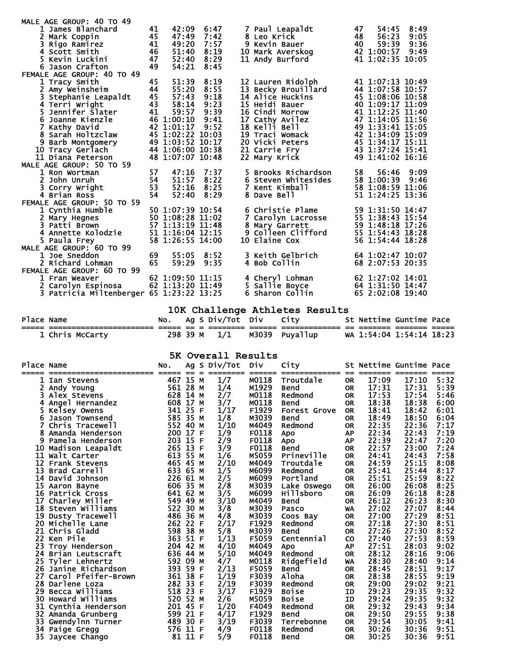| MALE AGE GROUP: 40 TO 49                 |    |                  |            |                                     |    |                  |      |
|------------------------------------------|----|------------------|------------|-------------------------------------|----|------------------|------|
| 1 James Blanchard                        | 41 |                  | 42:09 6:47 | 7 Paul Leapaldt                     | 47 | 54:45 8:49       |      |
| 2 Mark Coppin                            | 45 | 47:49            | 7:42       | 8 Leo Krick                         | 48 | 56:23            | 9:05 |
| 3 Rigo Ramirez                           | 41 | 49:20            | 7:57       | 9 Kevin Bauer                       | 40 | 59:39            | 9:36 |
| 4 Scott Smith                            | 46 | 51:40            | 8:19       | 10 Mark Averskog                    |    | 42 1:00:57 9:49  |      |
| 5 Kevin Luckini                          | 47 |                  | 52:40 8:29 | 10 Main Avelshog<br>11 Andy Burford |    | 41 1:02:35 10:05 |      |
| 6 Jason Crafton                          | 49 | 54:21            | 8:45       |                                     |    |                  |      |
| FEMALE AGE GROUP: 40 TO 49               |    |                  |            |                                     |    |                  |      |
| 1 Tracy Smith                            | 45 | 51:39            | 8:19       | 12 Lauren Ridolph                   |    | 41 1:07:13 10:49 |      |
| 2 Amy Weinsheim                          | 44 | 55:20            | 8:55       | 13 Becky Brouillard                 |    | 44 1:07:58 10:57 |      |
| 3 Stephanie Leapaldt                     | 45 | 57:43            | 9:18       | <b>14 Alice Huckins</b>             |    | 45 1:08:06 10:58 |      |
| 4 Terri Wright                           | 43 | 58:14            | 9:23       | <b>15 Heidi Bauer</b>               |    | 40 1:09:17 11:09 |      |
| 5 Jennifer Slater                        | 41 | 59:57            | 9:39       | 16 Cindi Morrow                     |    | 41 1:12:25 11:40 |      |
| 6 Joanne Kienzle                         |    | 46 1:00:10       | 9:41       | 17 Cathy Avilez                     |    | 47 1:14:05 11:56 |      |
| 7 Kathy David                            |    | 42 1:01:17 9:52  |            | 18 Kelli Bell                       |    | 49 1:33:41 15:05 |      |
| 8 Sarah Holtzclaw                        |    | 45 1:02:22 10:03 |            | 19 Traci Womack                     |    | 42 1:34:09 15:09 |      |
| 9 Barb Montgomery                        |    | 49 1:03:52 10:17 |            | 20 Vicki Peters                     |    | 45 1:34:17 15:11 |      |
| 10 Tracy Gerlach                         |    | 44 1:06:00 10:38 |            | 21 Carrie Fry                       |    | 43 1:37:24 15:41 |      |
| 11 Diana Peterson                        |    | 48 1:07:07 10:48 |            | 22 Mary Krick                       |    | 49 1:41:02 16:16 |      |
| MALE AGE GROUP: 50 TO 59                 |    |                  |            |                                     |    |                  |      |
| 1 Ron Wortman                            | 57 | 47:16            | 7:37       | 5 Brooks Richardson                 | 58 | 56:46 9:09       |      |
| 2 John Unruh                             | 54 |                  | 51:57 8:22 | 6 Steven Whitesides                 |    | 58 1:00:39 9:46  |      |
| 3 Corry Wright                           | 53 | 52:16            | 8:25       | 7 Kent Kimball                      |    | 58 1:08:59 11:06 |      |
| 4 Brian Ross                             | 54 | 52:40            | 8:29       | 8 Dave Bell                         |    | 51 1:24:25 13:36 |      |
| FEMALE AGE GROUP: 50 TO 59               |    |                  |            |                                     |    |                  |      |
| 1 Cynthia Humble                         |    | 50 1:07:39 10:54 |            | 6 Christie Plame                    |    | 59 1:31:50 14:47 |      |
| 2 Mary Hegnes                            |    | 50 1:08:28 11:02 |            | 7 Carolyn Lacrosse                  |    | 55 1:38:43 15:54 |      |
| 3 Patti Brown                            |    | 57 1:13:19 11:48 |            | 8 Mary Garrett                      |    | 59 1:48:18 17:26 |      |
| 4 Annette Kolodzie                       |    | 51 1:16:04 12:15 |            | 9 Colleen Clifford                  |    | 55 1:54:43 18:28 |      |
| 5 Paula Frey                             |    | 58 1:26:55 14:00 |            | 10 Elaine Cox                       |    | 56 1:54:44 18:28 |      |
| MALE AGE GROUP: 60 TO 99                 |    |                  |            |                                     |    |                  |      |
| 1 Joe Sneddon                            | 69 | 55:05            | 8:52       | 3 Keith Gelbrich                    |    | 64 1:02:47 10:07 |      |
| 2 Richard Lohman                         | 65 | 59:29            | 9:35       | 4 Bob Collin                        |    | 68 2:07:53 20:35 |      |
| FEMALE AGE GROUP: 60 TO 99               |    |                  |            |                                     |    |                  |      |
| 1 Fran Weaver                            |    | 62 1:09:50 11:15 |            | 4 Cheryl Lohman                     |    | 62 1:27:02 14:01 |      |
| 2 Carolyn Espinosa                       |    | 62 1:13:20 11:49 |            | 5 Sallie Bovce                      |    | 64 1:31:50 14:47 |      |
| 3 Patricia Miltenberger 65 1:23:22 13:25 |    |                  |            | 6 Sharon Collin                     |    | 65 2:02:08 19:40 |      |
|                                          |    |                  |            |                                     |    |                  |      |
|                                          |    |                  |            | 10K Challenge Athletes Pesults      |    |                  |      |

|            |                 |  |                           | TON CHAILENGE ACHLETES RESULTS |                          |  |
|------------|-----------------|--|---------------------------|--------------------------------|--------------------------|--|
| Place Name |                 |  | No. Ag S Div/Tot Div City |                                | St Nettime Guntime Pace  |  |
|            |                 |  |                           |                                |                          |  |
|            | 1 Chris McCarty |  | 298 39 M 1/1              | M3039 Puvallup                 | WA 1:54:04 1:54:14 18:23 |  |

**5K Overall Results**<br>Place Name and Magnetic River and City

| Place Name      |                      | No.<br>$==$ | $=$     | Ag S Div/Tot | <b>Div</b><br>====== | City<br>============= |           | St Nettime Guntime Pace<br>======= | -------- |      |
|-----------------|----------------------|-------------|---------|--------------|----------------------|-----------------------|-----------|------------------------------------|----------|------|
|                 | Ian Stevens          | 467         | 15 M    | 1/7          | M0118                | Troutdale             | <b>OR</b> | 17:09                              | 17:10    | 5:32 |
|                 | Andy Young           | 561 28 M    |         | 1/4          | M1929                | <b>Bend</b>           | <b>OR</b> | 17:31                              | 17:31    | 5:39 |
| 3               | Alex Stevens         | 628         | 14 M    | 2/7          | M0118                | Redmond               | <b>OR</b> | 17:53                              | 17:54    | 5:46 |
|                 | 4 Angel Hernandez    | 608         | 17 M    | 3/7          | M0118                | <b>Bend</b>           | <b>OR</b> | 18:38                              | 18:38    | 6:00 |
|                 | Kelsey Owens         | 341 25 F    |         | 1/17         | F1929                | Forest Grove          | <b>OR</b> | 18:41                              | 18:42    | 6:01 |
|                 | Jason Townsend       | 585 35 M    |         | 1/8          | M3039                | <b>Bend</b>           | <b>OR</b> | 18:49                              | 18:50    | 6:04 |
|                 | Chris Tracewell      | 552 40 M    |         | 1/10         | M4049                | Redmond               | <b>OR</b> | 22:35                              | 22:36    | 7:17 |
|                 | Amanda Henderson     | 200         | 17 F    | 1/9          | F0118                | Apo                   | <b>AP</b> | 22:34                              | 22:43    | 7:19 |
| 9               | Pamela Henderson     | 203         | 15 F    | 2/9          | F0118                | Apo                   | <b>AP</b> | 22:39                              | 22:47    | 7:20 |
|                 | 10 Madison Leapaldt  | 265 13 F    |         | 3/9          | F0118                | <b>Bend</b>           | <b>OR</b> | 22:57                              | 23:00    | 7:24 |
|                 | 11 Walt Carter       | 613         | 55 M    | 1/6          | M5059                | Prineville            | <b>OR</b> | 24:41                              | 24:43    | 7:58 |
| 12 <sup>2</sup> | <b>Frank Stevens</b> | 465         | 45 M    | 2/10         | M4049                | Troutdale             | <b>OR</b> | 24:59                              | 25:15    | 8:08 |
| 13              | Brad Carrell         | 633         | 65 M    | 1/5          | M6099                | Redmond               | <b>OR</b> | 25:41                              | 25:44    | 8:17 |
| 14              | David Johnson        | 226         | 61 M    | 2/5          | M6099                | Portland              | <b>OR</b> | 25:51                              | 25:59    | 8:22 |
| 15              | Aaron Bayne          | 606         | 35 M    | 2/8          | M3039                | Lake Oswego           | <b>OR</b> | 26:00                              | 26:08    | 8:25 |
|                 | 16 Patrick Cross     | 641         | 62 M    | 3/5          | M6099                | Hillsboro             | <b>OR</b> | 26:09                              | 26:18    | 8:28 |
| 17              | Charley Miller       | 549         | 49 M    | 3/10         | M4049                | <b>Bend</b>           | <b>OR</b> | 26:12                              | 26:23    | 8:30 |
|                 | 18 Steven Williams   | 522         | 30 M    | 3/8          | M3039                | Pasco                 | WA        | 27:02                              | 27:07    | 8:44 |
| 19              | Dusty Tracewell      | 486         | 36 M    | 4/8          | M3039                | Coos Bay              | <b>OR</b> | 27:00                              | 27:29    | 8:51 |
| 20              | Michelle Lane        | 262 22 F    |         | 2/17         | F <sub>1929</sub>    | Redmond               | <b>OR</b> | 27:18                              | 27:30    | 8:51 |
| 21              | Chris Gladd          | 598         | 38 M    | 5/8          | M3039                | <b>Bend</b>           | <b>OR</b> | 27:26                              | 27:30    | 8:52 |
| 22              | Ken Pile             | 363         | 51 F    | 1/13         | F5059                | Centennial            | <b>CO</b> | 27:40                              | 27:53    | 8:59 |
| 23              | Troy Henderson       | 204         | 42 M    | 4/10         | M4049                | <b>Apo</b>            | <b>AP</b> | 27:51                              | 28:03    | 9:02 |
| 24              | Brian Leutscraft     | 636 44 M    |         | 5/10         | M4049                | Redmond               | <b>OR</b> | 28:12                              | 28:16    | 9:06 |
| 25              | Tyler Lehnertz       | 592 09 M    |         | 4/7          | M0118                | Ridgefield            | WA        | 28:30                              | 28:40    | 9:14 |
| 26              | Janine Richardson    | 393         | 59 F    | 2/13         | F5059                | <b>Bend</b>           | <b>OR</b> | 28:45                              | 28:51    | 9:17 |
| 27              | Carol Pfeifer-Brown  | 361 38 F    |         | 1/19         | F3039                | Aloha                 | <b>OR</b> | 28:38                              | 28:55    | 9:19 |
|                 | 28 Darlene Loza      | 282 33 F    |         | 2/19         | F3039                | Redmond               | <b>OR</b> | 29:00                              | 29:02    | 9:21 |
| 29              | Becca Williams       | 518 23 F    |         | 3/17         | F <sub>1929</sub>    | <b>Boise</b>          | ID        | 29:23                              | 29:35    | 9:32 |
| 30              | Howard Williams      | 520 52 M    |         | 2/6          | M5059                | <b>Boise</b>          | ID        | 29:24                              | 29:35    | 9:32 |
| 31              | Cynthia Henderson    | 201 45 F    |         | 1/20         | F4049                | Redmond               | <b>OR</b> | 29:32                              | 29:43    | 9:34 |
| 32              | Amanda Grunberg      | 599         | 21 F    | 4/17         | F1929                | <b>Bend</b>           | <b>OR</b> | 29:50                              | 29:55    | 9:38 |
| 33              | Gwendylnn Turner     | 489 30 F    |         | 3/19         | F3039                | Terrebonne            | <b>OR</b> | 29:54                              | 30:05    | 9:41 |
| 34              | Paige Gregg          | 576         | 11 F    | 4/9          | F0118                | Redmond               | <b>OR</b> | 30:26                              | 30:36    | 9:51 |
| 35              | Jaycee Chango        |             | 81 11 F | 5/9          | F0118                | <b>Bend</b>           | <b>OR</b> | 30:25                              | 30:36    | 9:51 |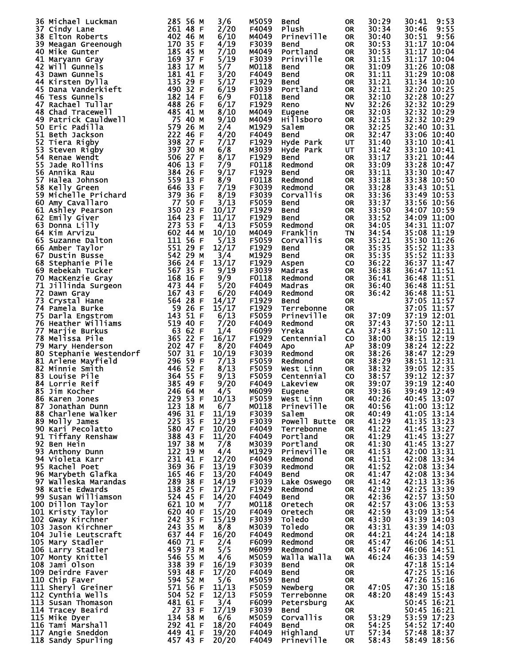|     |                                                                                                                                                                                                                                                                              |                                                         |                | M5059             |                        |                 |                         |                                               |
|-----|------------------------------------------------------------------------------------------------------------------------------------------------------------------------------------------------------------------------------------------------------------------------------|---------------------------------------------------------|----------------|-------------------|------------------------|-----------------|-------------------------|-----------------------------------------------|
|     | 36 Michael Luckman                                                                                                                                                                                                                                                           | 285 56 M                                                | 3/6            |                   | Bend                   | <b>OR</b>       | 30:29                   | 9:53<br>30:41                                 |
|     | 37 Cindy Lane                                                                                                                                                                                                                                                                | 261 48 F                                                | 2/20           | F4049             | <b>Plush</b>           | <b>OR</b>       | 30:34                   | 9:55<br>30:46                                 |
|     | 38 Elton Roberts<br>402 46 M<br>170 35 F<br>185 45 M F<br>169 37 F M F<br>183 17 H<br>181 41 P<br>482 142 148<br>482 24<br>488 26 F<br>488 26 F                                                                                                                              | 402 46 M                                                | 6/10           | M4049             | Prineville             | <b>OR</b>       | 30:40                   | 9:56<br>30:51                                 |
|     | 39 Meagan Greenough                                                                                                                                                                                                                                                          |                                                         | 4/19           | F3039             | Bend                   | <b>OR</b>       | 30:53                   | 31:17 10:04                                   |
|     | 40 Mike Gunter                                                                                                                                                                                                                                                               |                                                         | 7/10           | M4049             | Portland               | <b>OR</b>       | 30:53                   | 31:17 10:04                                   |
|     |                                                                                                                                                                                                                                                                              |                                                         |                |                   |                        |                 |                         | $31:17$ $10:04$                               |
|     | 41 Maryann Gray                                                                                                                                                                                                                                                              |                                                         | 5/19           | F3039             | Prinville              | <b>OR</b>       | 31:15                   |                                               |
|     | 42 Will Gunnels                                                                                                                                                                                                                                                              |                                                         | 5/7            | M0118             | <b>Bend</b>            | <b>OR</b>       | 31:09                   | 31:26 10:08                                   |
|     | 43 Dawn Gunnels                                                                                                                                                                                                                                                              |                                                         | 3/20           | F4049             | Bend                   | 0R              | 31:11                   | 31:29 10:08                                   |
|     | 44 Kirsten Dylla                                                                                                                                                                                                                                                             |                                                         | 5/17           | F1929             | Bend                   | <b>OR</b>       | $\frac{31:21}{32:11}$   | 31:34 10:10                                   |
|     |                                                                                                                                                                                                                                                                              |                                                         | 6/19           | F3039             | Portland               |                 |                         | 32:20 10:25                                   |
|     | 45 Dana Vanderkieft                                                                                                                                                                                                                                                          |                                                         |                |                   |                        | 0R              |                         |                                               |
|     | 46 Tess Gunnels                                                                                                                                                                                                                                                              |                                                         | 6/9            | F0118             | <b>Bend</b>            | <b>OR</b>       | 32:10                   | 32:28 10:27                                   |
|     | 47 Rachael Tullar                                                                                                                                                                                                                                                            |                                                         | 6/17           | F1929             | Reno                   | <b>NV</b>       | 32:26                   | 32:32 10:29                                   |
|     | 48 Chad Tracewell                                                                                                                                                                                                                                                            |                                                         | 8/10           | M4049             | Eugene                 | <b>OR</b>       | 32:03                   | 32:32 10:29                                   |
|     | 49 Patrick Cauldwell                                                                                                                                                                                                                                                         |                                                         | 9/10           | M4049             | <b>Hillsboro</b>       |                 | $\frac{32:15}{32:25}$   | 32:32 10:29                                   |
|     |                                                                                                                                                                                                                                                                              |                                                         |                |                   |                        | 0R              |                         |                                               |
|     | 50 Eric Padilla                                                                                                                                                                                                                                                              |                                                         | 2/4            | M1929             | Salem                  | <b>OR</b>       |                         | 32:40 10:31                                   |
| 51  | Beth Jackson                                                                                                                                                                                                                                                                 |                                                         | 4/20           | F4049             | <b>Bend</b>            | <b>OR</b>       | 32:47                   | 33:06 10:40                                   |
|     | 1<br>Well<br>Well<br>T5 40 M<br>T5 40 M<br>T5 40 M<br>S79 26 M<br>222 46 F<br>398 27 F<br>506 27 F<br>406 13 F<br>384 26 F<br>384 26<br>52 Tiera Rigby                                                                                                                       |                                                         | 7/17           | F1929             | Hyde Park              | UT              | 31:40                   | 33:10 10:41                                   |
| 53  | Steven Rigby                                                                                                                                                                                                                                                                 |                                                         | 6/8            | M3039             | Hyde Park              | UT              | 31:42                   | 33:10 10:41                                   |
|     |                                                                                                                                                                                                                                                                              |                                                         |                |                   |                        |                 |                         |                                               |
|     | 54 Renae Wendt                                                                                                                                                                                                                                                               |                                                         | 8/17           | F1929             | Bend                   | <b>OR</b>       | 33:17                   | 33:21 10:44                                   |
| 55  | Jade Rollins                                                                                                                                                                                                                                                                 |                                                         | 7/9            | F0118             | Redmond                | <b>OR</b>       | 33:09                   | 33:28 10:47                                   |
| 56  |                                                                                                                                                                                                                                                                              |                                                         | 9/17           | F1929             | Bend                   | <b>OR</b>       | 33:11                   | 33:30 10:47                                   |
|     | 57 Halea Johnson                                                                                                                                                                                                                                                             |                                                         | 8/9            | F0118             | Redmond                | <b>OR</b>       | 33:18                   | 33:38 10:50                                   |
|     | 384 ROTTINS<br>Annika Rau<br>Halea Johnson<br>Halea Johnson<br>S59 13 F<br>Michelle Prichard<br>Amy Cavallaro<br>Anny Cavallaro<br>Ashley Pearson<br>Emily Giver<br>Emily Giver<br>164 23 F<br>Donna Lilly<br>27 50 F<br>Donna Lilly<br>27 50 F<br>27 50 F<br>27             |                                                         |                |                   |                        |                 |                         |                                               |
| 58  |                                                                                                                                                                                                                                                                              |                                                         | 7/19           | F3039             | Redmond                | <b>OR</b>       | 33:28                   | 33:43 10:51                                   |
| 59  |                                                                                                                                                                                                                                                                              |                                                         | 8/19           | F3039             | Corvallis              | <b>OR</b>       | 33:36                   | 33:49 10:53                                   |
|     | 60 Amy Cavallaro                                                                                                                                                                                                                                                             |                                                         | 3/13           | F5059             | <b>Bend</b>            | <b>OR</b>       | 33:37                   | 33:56 10:56                                   |
| 61  |                                                                                                                                                                                                                                                                              |                                                         | 10/17          | F1929             | <b>Bend</b>            | 0R              | 33:50                   | 34:07 10:59                                   |
|     |                                                                                                                                                                                                                                                                              |                                                         |                |                   |                        |                 |                         |                                               |
| 62  |                                                                                                                                                                                                                                                                              |                                                         | 11/17          | F1929             | <b>Bend</b>            | <b>OR</b>       | 33:52                   | 34:09 11:00                                   |
|     | 63 Donna Lilly                                                                                                                                                                                                                                                               |                                                         | 4/13           | F5059             | Redmond                | <b>OR</b>       | 34:05                   | 34:31 11:07                                   |
|     | 64 Kim Arvizu                                                                                                                                                                                                                                                                | 602 44 M                                                | 10/10          | M4049             | Franklin               | <b>TN</b>       | 34:54                   | 35:08 11:19                                   |
|     | 65 Suzanne Dalton                                                                                                                                                                                                                                                            | 602 44 M<br>111 56 F                                    | 5/13           | F5059             | Corvallis              |                 |                         | 35:30 11:26                                   |
|     |                                                                                                                                                                                                                                                                              |                                                         |                |                   |                        | 0R              | 35:21<br>35:35          |                                               |
|     | 66 Amber Taylor                                                                                                                                                                                                                                                              |                                                         | 12/17          | F1929             | <b>Bend</b>            | <b>OR</b>       |                         | 35:52 11:33                                   |
|     | 67 Dustin Busse                                                                                                                                                                                                                                                              |                                                         | 3/4            | M1929             | <b>Bend</b>            | 0R              | 35:35                   | 35:52 11:33                                   |
|     | 68 Stephanie Pile                                                                                                                                                                                                                                                            |                                                         | 13/17          | F1929             | Aspen                  | <b>CO</b>       | 36:22                   | 36:37 11:47                                   |
|     | 69 Rebekah Tucker                                                                                                                                                                                                                                                            |                                                         | 9/19           | F3039             | Madras                 | <b>OR</b>       | 36:38                   | 36:47 11:51                                   |
|     |                                                                                                                                                                                                                                                                              |                                                         |                |                   |                        |                 |                         |                                               |
|     | 70 MacKenzie Gray                                                                                                                                                                                                                                                            |                                                         | 9/9            | F0118             | Redmond                | <b>OR</b>       | 36:41                   | 36:48 11:51                                   |
| 71  | Suzanne Dalton<br>Amber Taylor<br>Dustin Busse<br>Stephanie Pile<br>Stephanie Pile<br>Stephanie Pile<br>Stephanie Pile<br>Stephanie Pile<br>Stephanie S62 35 F<br>MacKenzie Gray<br>168 16 F<br>Jillinda Surgeon<br>473 44 F<br>Dawn Gray<br>Dawn Gray<br>Cr                 |                                                         | 5/20           | F4049             | Madras                 | 0R              | 36:40                   | 36:48 11:51                                   |
|     | 72 Dawn Gray                                                                                                                                                                                                                                                                 |                                                         | 6/20           | F4049             | Redmond                | <b>OR</b>       | 36:42                   | 36:48 11:51                                   |
| 73  |                                                                                                                                                                                                                                                                              |                                                         | 14/17          | F1929             | Bend                   | <b>OR</b>       |                         | 37:05 11:57                                   |
|     |                                                                                                                                                                                                                                                                              |                                                         |                |                   |                        |                 |                         |                                               |
|     | 74 Pamela Burke                                                                                                                                                                                                                                                              |                                                         | 15/17          | F1929             | Terrebonne             | <b>OR</b>       |                         | 37:05 11:57                                   |
| 75  | Darla Engstrom                                                                                                                                                                                                                                                               |                                                         | 6/13           | F5059             | Prineville             | <b>OR</b>       | 37:09                   | 37:19 12:01                                   |
|     | 76 Heather williams                                                                                                                                                                                                                                                          |                                                         | 7/20           | F4049             | Redmond                | <b>OR</b>       | 37:43                   | 37:50 12:11                                   |
|     | 77 Marjie Burkus                                                                                                                                                                                                                                                             |                                                         | 1/4            | F6099             | Yreka                  |                 | 37:43                   | $37:50$ $\overline{12}:11$                    |
|     |                                                                                                                                                                                                                                                                              |                                                         |                |                   |                        | CA              |                         |                                               |
|     | 78 Melissa Pile                                                                                                                                                                                                                                                              |                                                         | 16/17          | F1929             | Centennial             | <b>CO</b>       | 38:00                   | 38:15 12:19                                   |
| 79  |                                                                                                                                                                                                                                                                              |                                                         | 8/20           | F4049             | <b>Apo</b>             | <b>AP</b>       | 38:09                   | 38:24 12:22                                   |
| 80. |                                                                                                                                                                                                                                                                              |                                                         | 10/19          | F3039             | Redmond                | <b>OR</b>       | 38:26                   | 38:47 12:29                                   |
|     | Darla Engstrom<br>Heather Williams<br>Marjie Burkus<br>Marjie Burkus<br>Marjie Burkus<br>Mary Henderson<br>Stephanie Westendorf<br>Stephanie Westendorf<br>Stephanie Westendorf<br>Stephanie Marjield<br>Arlene Mayfield<br>Louise Pile<br>Louise Pile<br>81 Arlene Mayfield |                                                         | 7/13           | F5059             |                        | <b>OR</b>       |                         | 38:51 12:31                                   |
|     |                                                                                                                                                                                                                                                                              |                                                         |                |                   | Redmond                |                 | 38:29<br>38:32<br>38:57 |                                               |
| 82  |                                                                                                                                                                                                                                                                              |                                                         | 8/13           | F5059             | West Linn              | <b>OR</b>       |                         | 39:05 12:35                                   |
|     | 83 Louise Pile                                                                                                                                                                                                                                                               |                                                         | 9/13           | F5059             | Centennial             | <b>CO</b>       |                         | $39:12$ $\overline{12}:37$                    |
|     | 84 Lorrie Reif                                                                                                                                                                                                                                                               |                                                         | 9/20           | F4049             | Lakeview               | <b>OR</b>       | 39:07                   | 39:19 12:40                                   |
|     | 85 Jim Kocher                                                                                                                                                                                                                                                                |                                                         | 4/5            | M6099             | Eugene                 | OR              | 39:36                   | 39:49 12:49                                   |
|     | 246 64 M<br>229 53 F<br>223 18 M                                                                                                                                                                                                                                             |                                                         |                |                   |                        |                 |                         |                                               |
|     | 86 Karen Jones                                                                                                                                                                                                                                                               |                                                         | 10/13          | F5059             | West Linn              | 0R              | 40:26                   | 40:45 13:07                                   |
|     | 87 Jonathan Dunn                                                                                                                                                                                                                                                             |                                                         | 6/7            | M0118             | Prineville             |                 | 40:56                   | 41:00 13:12                                   |
|     | 88 Charlene Walker                                                                                                                                                                                                                                                           | 496 31 F                                                | 11/19          |                   |                        | OR.             |                         |                                               |
|     |                                                                                                                                                                                                                                                                              |                                                         |                |                   |                        |                 |                         |                                               |
|     |                                                                                                                                                                                                                                                                              |                                                         |                | F3039             | Salem                  | <b>OR</b>       | 40:49                   |                                               |
|     | 89 Molly James                                                                                                                                                                                                                                                               | 225 35 F                                                | 12/19          | F3039             | Powell Butte           | OR.             | 41:29                   | $41:05$ $\overline{13}:14$<br>$41:35$ $13:23$ |
|     | 90 Kari Pecolatto                                                                                                                                                                                                                                                            |                                                         | 10/20          | F4049             | Terrebonne             | 0R              | 41:22                   |                                               |
|     | 91 Tiffany Renshaw                                                                                                                                                                                                                                                           |                                                         | 11/20          | F4049             | Portland               | <b>OR</b>       | 41:29                   | 41:45 13:27<br>41:45 13:27                    |
|     | 92 Ben Hein                                                                                                                                                                                                                                                                  | 580 47 F<br>388 43 F                                    | 7/8            | M3039             | Portland               | <b>OR</b>       | 41:30                   | 41:45 13:27                                   |
|     |                                                                                                                                                                                                                                                                              |                                                         |                |                   |                        |                 |                         |                                               |
|     | 93 Anthony Dunn                                                                                                                                                                                                                                                              |                                                         | 4/4            | M1929             | Prineville             | 0R              | 41:53                   | 42:00 13:31                                   |
|     | 94 Violeta Karr                                                                                                                                                                                                                                                              |                                                         | 12/20          | F4049             | Redmond                | 0R              | 41:51                   | 42:08 13:34                                   |
|     |                                                                                                                                                                                                                                                                              |                                                         | 13/19          | F3039             | Redmond                | OR.             | 41:52                   | 42:08 13:34                                   |
|     |                                                                                                                                                                                                                                                                              |                                                         | 13/20          | F4049             | Bend                   | OR.             | 41:47                   | 42:08 13:34                                   |
|     | 94 Violeta Karr<br>95 Rachel Poet<br>96 Marybeth Glafka                                                                                                                                                                                                                      |                                                         | 14/19          | F3039             | Lake Oswego            | OR.             | 41:42                   |                                               |
|     | 97 Walleska Marandas                                                                                                                                                                                                                                                         |                                                         |                |                   |                        |                 |                         | $42:13$ $\overline{13}:36$                    |
|     | 98 Katie Edwards                                                                                                                                                                                                                                                             |                                                         | 17/17          | F <sub>1929</sub> | Redmond                | OR.             | 42:19                   |                                               |
|     | 99 Susan Williamson                                                                                                                                                                                                                                                          |                                                         | 14/20          | F4049             | Bend                   | OR.             | 42:36                   | 42:25 13:39<br>42:57 13:50                    |
|     | 100 Dillon Taylor                                                                                                                                                                                                                                                            |                                                         | 7/7            | M0118             | <b>Oretech</b>         | OR.             | 42:57                   | 43:06 13:53                                   |
|     |                                                                                                                                                                                                                                                                              |                                                         |                | F4049             | <b>Oretech</b>         | OR              | 42:59                   |                                               |
|     | 101 Kristy Taylor                                                                                                                                                                                                                                                            | 621 10 M<br>620 40 F                                    | 15/20          |                   |                        |                 |                         | 43:09 13:54                                   |
|     | 102 Gway Kirchner                                                                                                                                                                                                                                                            |                                                         | 15/19          | F3039             | Toledo                 | OR              | 43:30                   |                                               |
|     | 103 Jason Kirchner                                                                                                                                                                                                                                                           | 242 35 F<br>243 35 M                                    | 8/8            | M3039             | Toledo                 | OR              | 43:31                   | 43:39 14:03<br>43:39 14:03                    |
|     | 104 Julie Leutscraft                                                                                                                                                                                                                                                         |                                                         | 16/20          | F4049             | Redmond                | OR.             | 44:21                   | 44:24 14:18                                   |
|     | 105 Mary Stadler                                                                                                                                                                                                                                                             |                                                         | 2/4            | F6099             | Redmond                | OR              | 45:47                   | 46:06 14:51                                   |
|     |                                                                                                                                                                                                                                                                              |                                                         |                |                   | Redmond                | <b>OR</b>       |                         |                                               |
|     | 106 Larry Stadler                                                                                                                                                                                                                                                            |                                                         | 5/5            | M6099             |                        |                 | 45:47                   | 46:06 14:51                                   |
|     | 107 Monty Knittel                                                                                                                                                                                                                                                            | 637 44 F<br>460 71 F<br>459 73 M<br>546 55 M            | 4/6            | M5059             | Walla Walla            | <b>WA</b>       | 46:24                   | 46:33 14:59                                   |
|     | 108 Jami Olson                                                                                                                                                                                                                                                               |                                                         | 16/19          | F3039             | Bend                   | 0R              |                         | 47:18 15:14                                   |
|     |                                                                                                                                                                                                                                                                              | 338 39 F<br>593 48 F                                    | 17/20          | F4049             | Bend                   | OR.             |                         | 47:25 15:16                                   |
|     | 108 Jami Olson<br>109 Deirdre Faver<br>110 Chip Faver<br>110 Chip Faver                                                                                                                                                                                                      |                                                         |                | M5059             | Bend                   | 0R              |                         | 47:26 15:16                                   |
|     |                                                                                                                                                                                                                                                                              |                                                         | 5/6            |                   |                        |                 |                         |                                               |
|     | 111 Sheryl Greiner                                                                                                                                                                                                                                                           | 594 52 M<br>571 56 F                                    | 11/13          | F5059             | Newberg                | OR.             | 47:05                   | 47:30 15:18                                   |
|     | 112 Cynthia Wells                                                                                                                                                                                                                                                            |                                                         | 12/13          | F5059             | Terrebonne             | OR.             | 48:20                   | 48:49 15:43                                   |
|     | 113 Susan Thomason                                                                                                                                                                                                                                                           | 504 52 F<br>481 61 F                                    | 3/4            | F6099             | Petersburg             | AK.             |                         | 50:45 16:21                                   |
|     | 114 Tracey Beaird                                                                                                                                                                                                                                                            |                                                         | 17/19          | F3039             | Bend                   | OR.             |                         |                                               |
|     |                                                                                                                                                                                                                                                                              |                                                         |                |                   |                        | OR              |                         |                                               |
|     | 115 Mike Dyer                                                                                                                                                                                                                                                                |                                                         | 6/6            | M5059             | Corvallis              |                 | 53:29                   | 50:45 16:21<br>53:59 17:23                    |
|     | 116 Tami Marshall                                                                                                                                                                                                                                                            |                                                         | 18/20          | F4049             | <b>Bend</b>            | OR.             | 54:25                   | 54:52 17:40                                   |
|     | 117 Angie Sneddon<br>118 Sandy Spurling                                                                                                                                                                                                                                      | 27 33 F<br>134 58 M<br>292 41 F<br>449 41 F<br>457 43 F | 19/20<br>20/20 | F4049<br>F4049    | Highland<br>Prineville | UT<br><b>OR</b> | 57:34<br>58:43          | 57:48 18:37<br>58:49 18:56                    |